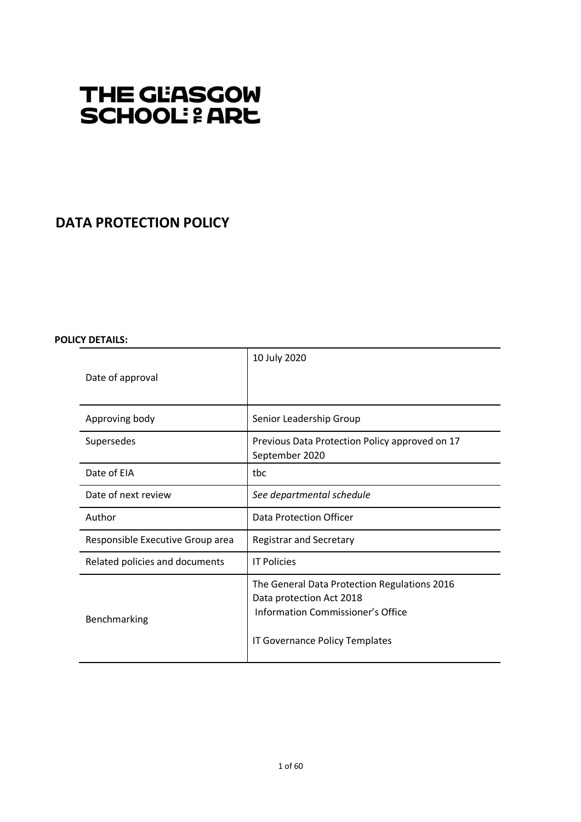# THE GLASGOW **SCHOOL: & ARE**

## **DATA PROTECTION POLICY**

## **POLICY DETAILS:**

|                                  | 10 July 2020                                                                                                  |
|----------------------------------|---------------------------------------------------------------------------------------------------------------|
| Date of approval                 |                                                                                                               |
|                                  |                                                                                                               |
| Approving body                   | Senior Leadership Group                                                                                       |
| Supersedes                       | Previous Data Protection Policy approved on 17<br>September 2020                                              |
| Date of EIA                      | tbc                                                                                                           |
| Date of next review              | See departmental schedule                                                                                     |
| Author                           | Data Protection Officer                                                                                       |
| Responsible Executive Group area | <b>Registrar and Secretary</b>                                                                                |
| Related policies and documents   | <b>IT Policies</b>                                                                                            |
| Benchmarking                     | The General Data Protection Regulations 2016<br>Data protection Act 2018<br>Information Commissioner's Office |
|                                  | IT Governance Policy Templates                                                                                |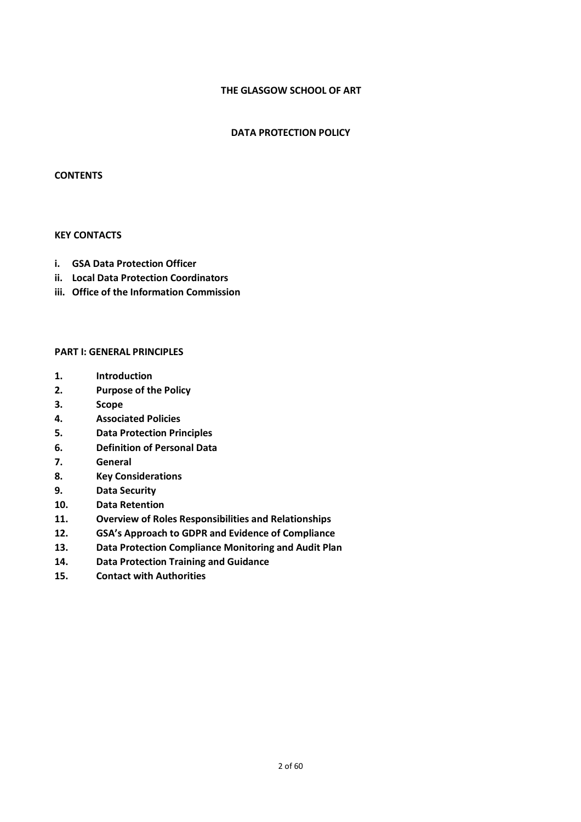## **THE GLASGOW SCHOOL OF ART**

## **DATA PROTECTION POLICY**

#### **CONTENTS**

## **KEY CONTACTS**

- **i. GSA Data Protection Officer**
- **ii. Local Data Protection Coordinators**
- **iii. Office of the Information Commission**

## **PART I: GENERAL PRINCIPLES**

- **1. Introduction**
- **2. Purpose of the Policy**
- **3. Scope**
- **4. Associated Policies**
- **5. Data Protection Principles**
- **6. Definition of Personal Data**
- **7. General**
- **8. Key Considerations**
- **9. Data Security**
- **10. Data Retention**
- **11. Overview of Roles Responsibilities and Relationships**
- **12. GSA's Approach to GDPR and Evidence of Compliance**
- **13. Data Protection Compliance Monitoring and Audit Plan**
- **14. Data Protection Training and Guidance**
- **15. Contact with Authorities**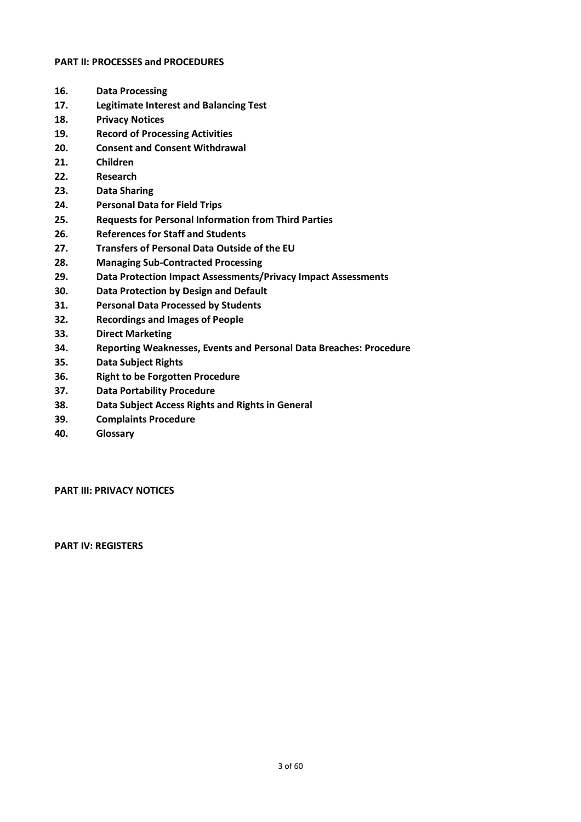## **PART II: PROCESSES and PROCEDURES**

- **16. Data Processing**
- **17. Legitimate Interest and Balancing Test**
- **18. Privacy Notices**
- **19. Record of Processing Activities**
- **20. Consent and Consent Withdrawal**
- **21. Children**
- **22. Research**
- **23. Data Sharing**
- **24. Personal Data for Field Trips**
- **25. Requests for Personal Information from Third Parties**
- **26. References for Staff and Students**
- **27. Transfers of Personal Data Outside of the EU**
- **28. Managing Sub-Contracted Processing**
- **29. Data Protection Impact Assessments/Privacy Impact Assessments**
- **30. Data Protection by Design and Default**
- **31. Personal Data Processed by Students**
- **32. Recordings and Images of People**
- **33. Direct Marketing**
- **34. Reporting Weaknesses, Events and Personal Data Breaches: Procedure**
- **35. Data Subject Rights**
- **36. Right to be Forgotten Procedure**
- **37. Data Portability Procedure**
- **38. Data Subject Access Rights and Rights in General**
- **39. Complaints Procedure**
- **40. Glossary**

**PART III: PRIVACY NOTICES**

**PART IV: REGISTERS**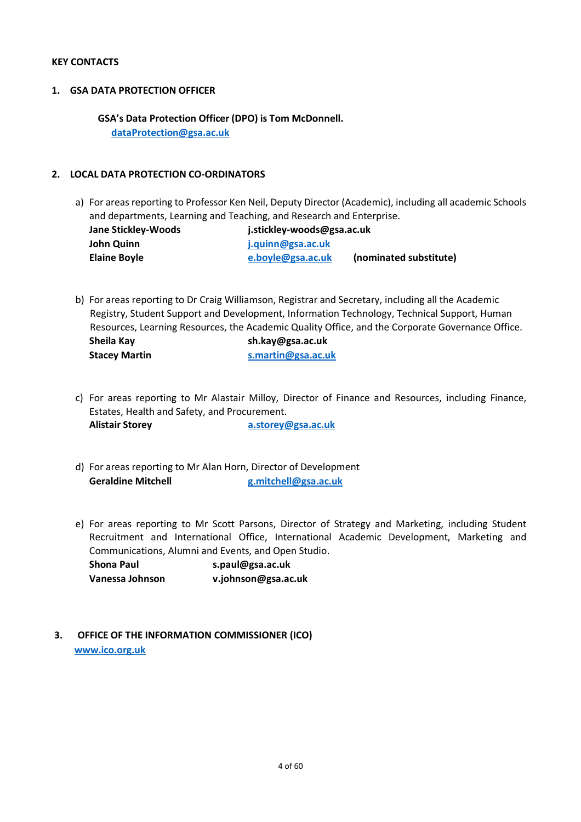## **KEY CONTACTS**

## **1. GSA DATA PROTECTION OFFICER**

 **GSA's Data Protection Officer (DPO) is Tom McDonnell. dataProtection@gsa.ac.uk**

## **2. LOCAL DATA PROTECTION CO-ORDINATORS**

a) For areas reporting to Professor Ken Neil, Deputy Director (Academic), including all academic Schools and departments, Learning and Teaching, and Research and Enterprise.

| Jane Stickley-Woods | j.stickley-woods@gsa.ac.uk |                        |
|---------------------|----------------------------|------------------------|
| John Quinn          | j.quinn@gsa.ac.uk          |                        |
| <b>Elaine Boyle</b> | e.boyle@gsa.ac.uk          | (nominated substitute) |

- b) For areas reporting to Dr Craig Williamson, Registrar and Secretary, including all the Academic Registry, Student Support and Development, Information Technology, Technical Support, Human Resources, Learning Resources, the Academic Quality Office, and the Corporate Governance Office. **Sheila Kay sh.kay@gsa.ac.uk Stacey Martin s.martin@gsa.ac.uk**
- c) For areas reporting to Mr Alastair Milloy, Director of Finance and Resources, including Finance, Estates, Health and Safety, and Procurement. **Alistair Storey a.storey@gsa.ac.uk**
- d) For areas reporting to Mr Alan Horn, Director of Development **Geraldine Mitchell g.mitchell@gsa.ac.uk**
- e) For areas reporting to Mr Scott Parsons, Director of Strategy and Marketing, including Student Recruitment and International Office, International Academic Development, Marketing and Communications, Alumni and Events, and Open Studio.

**Shona Paul s.paul@gsa.ac.uk Vanessa Johnson v.johnson@gsa.ac.uk**

**3. OFFICE OF THE INFORMATION COMMISSIONER (ICO) www.ico.org.uk**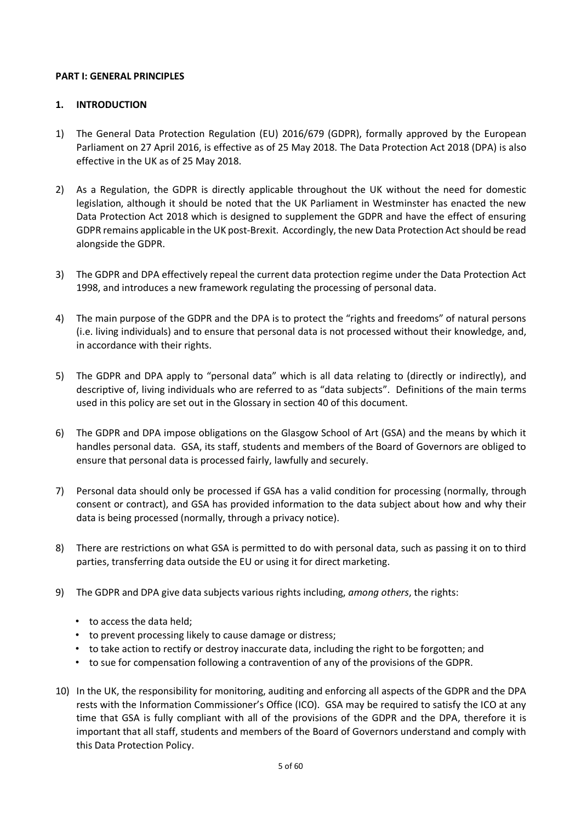## **PART I: GENERAL PRINCIPLES**

## **1. INTRODUCTION**

- 1) The General Data Protection Regulation (EU) 2016/679 (GDPR), formally approved by the European Parliament on 27 April 2016, is effective as of 25 May 2018. The Data Protection Act 2018 (DPA) is also effective in the UK as of 25 May 2018.
- 2) As a Regulation, the GDPR is directly applicable throughout the UK without the need for domestic legislation, although it should be noted that the UK Parliament in Westminster has enacted the new Data Protection Act 2018 which is designed to supplement the GDPR and have the effect of ensuring GDPR remains applicable in the UK post-Brexit. Accordingly, the new Data Protection Actshould be read alongside the GDPR.
- 3) The GDPR and DPA effectively repeal the current data protection regime under the Data Protection Act 1998, and introduces a new framework regulating the processing of personal data.
- 4) The main purpose of the GDPR and the DPA is to protect the "rights and freedoms" of natural persons (i.e. living individuals) and to ensure that personal data is not processed without their knowledge, and, in accordance with their rights.
- 5) The GDPR and DPA apply to "personal data" which is all data relating to (directly or indirectly), and descriptive of, living individuals who are referred to as "data subjects". Definitions of the main terms used in this policy are set out in the Glossary in section 40 of this document.
- 6) The GDPR and DPA impose obligations on the Glasgow School of Art (GSA) and the means by which it handles personal data. GSA, its staff, students and members of the Board of Governors are obliged to ensure that personal data is processed fairly, lawfully and securely.
- 7) Personal data should only be processed if GSA has a valid condition for processing (normally, through consent or contract), and GSA has provided information to the data subject about how and why their data is being processed (normally, through a privacy notice).
- 8) There are restrictions on what GSA is permitted to do with personal data, such as passing it on to third parties, transferring data outside the EU or using it for direct marketing.
- 9) The GDPR and DPA give data subjects various rights including, *among others*, the rights:
	- to access the data held;
	- to prevent processing likely to cause damage or distress;
	- to take action to rectify or destroy inaccurate data, including the right to be forgotten; and
	- to sue for compensation following a contravention of any of the provisions of the GDPR.
- 10) In the UK, the responsibility for monitoring, auditing and enforcing all aspects of the GDPR and the DPA rests with the Information Commissioner's Office (ICO). GSA may be required to satisfy the ICO at any time that GSA is fully compliant with all of the provisions of the GDPR and the DPA, therefore it is important that all staff, students and members of the Board of Governors understand and comply with this Data Protection Policy.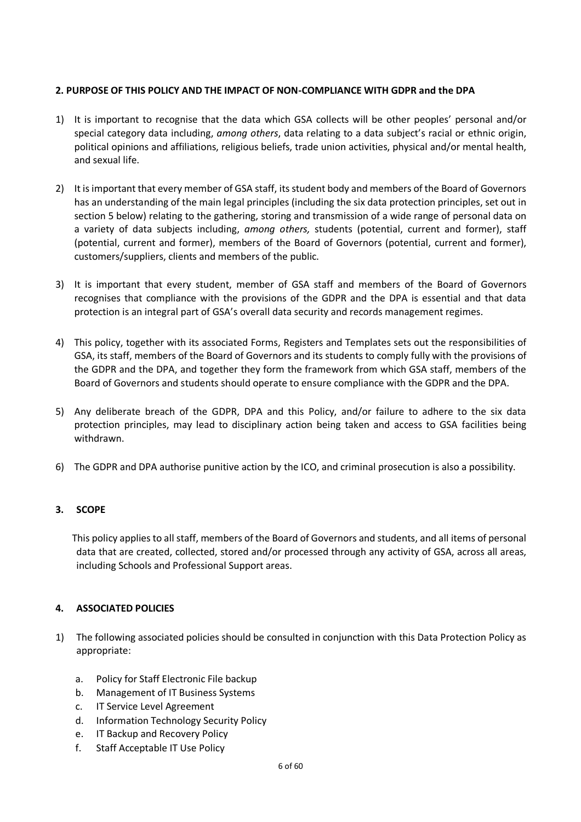## **2. PURPOSE OF THIS POLICY AND THE IMPACT OF NON-COMPLIANCE WITH GDPR and the DPA**

- 1) It is important to recognise that the data which GSA collects will be other peoples' personal and/or special category data including, *among others*, data relating to a data subject's racial or ethnic origin, political opinions and affiliations, religious beliefs, trade union activities, physical and/or mental health, and sexual life.
- 2) It is important that every member of GSA staff, its student body and members of the Board of Governors has an understanding of the main legal principles (including the six data protection principles, set out in section 5 below) relating to the gathering, storing and transmission of a wide range of personal data on a variety of data subjects including, *among others,* students (potential, current and former), staff (potential, current and former), members of the Board of Governors (potential, current and former), customers/suppliers, clients and members of the public.
- 3) It is important that every student, member of GSA staff and members of the Board of Governors recognises that compliance with the provisions of the GDPR and the DPA is essential and that data protection is an integral part of GSA's overall data security and records management regimes.
- 4) This policy, together with its associated Forms, Registers and Templates sets out the responsibilities of GSA, its staff, members of the Board of Governors and its students to comply fully with the provisions of the GDPR and the DPA, and together they form the framework from which GSA staff, members of the Board of Governors and students should operate to ensure compliance with the GDPR and the DPA.
- 5) Any deliberate breach of the GDPR, DPA and this Policy, and/or failure to adhere to the six data protection principles, may lead to disciplinary action being taken and access to GSA facilities being withdrawn.
- 6) The GDPR and DPA authorise punitive action by the ICO, and criminal prosecution is also a possibility.

## **3. SCOPE**

This policy applies to all staff, members of the Board of Governors and students, and all items of personal data that are created, collected, stored and/or processed through any activity of GSA, across all areas, including Schools and Professional Support areas.

## **4. ASSOCIATED POLICIES**

- 1) The following associated policies should be consulted in conjunction with this Data Protection Policy as appropriate:
	- a. Policy for Staff Electronic File backup
	- b. Management of IT Business Systems
	- c. IT Service Level Agreement
	- d. Information Technology Security Policy
	- e. IT Backup and Recovery Policy
	- f. Staff Acceptable IT Use Policy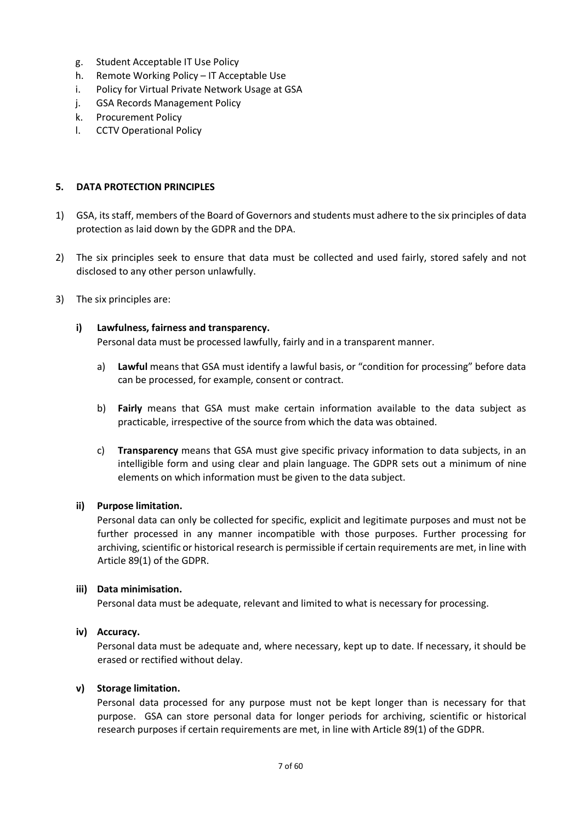- g. Student Acceptable IT Use Policy
- h. Remote Working Policy IT Acceptable Use
- i. Policy for Virtual Private Network Usage at GSA
- j. GSA Records Management Policy
- k. Procurement Policy
- l. CCTV Operational Policy

## **5. DATA PROTECTION PRINCIPLES**

- 1) GSA, its staff, members of the Board of Governors and students must adhere to the six principles of data protection as laid down by the GDPR and the DPA.
- 2) The six principles seek to ensure that data must be collected and used fairly, stored safely and not disclosed to any other person unlawfully.
- 3) The six principles are:

## **i) Lawfulness, fairness and transparency.**

Personal data must be processed lawfully, fairly and in a transparent manner.

- a) **Lawful** means that GSA must identify a lawful basis, or "condition for processing" before data can be processed, for example, consent or contract.
- b) **Fairly** means that GSA must make certain information available to the data subject as practicable, irrespective of the source from which the data was obtained.
- c) **Transparency** means that GSA must give specific privacy information to data subjects, in an intelligible form and using clear and plain language. The GDPR sets out a minimum of nine elements on which information must be given to the data subject.

## **ii) Purpose limitation.**

Personal data can only be collected for specific, explicit and legitimate purposes and must not be further processed in any manner incompatible with those purposes. Further processing for archiving, scientific or historical research is permissible if certain requirements are met, in line with Article 89(1) of the GDPR.

## **iii) Data minimisation.**

Personal data must be adequate, relevant and limited to what is necessary for processing.

## **iv) Accuracy.**

Personal data must be adequate and, where necessary, kept up to date. If necessary, it should be erased or rectified without delay.

## **v) Storage limitation.**

Personal data processed for any purpose must not be kept longer than is necessary for that purpose. GSA can store personal data for longer periods for archiving, scientific or historical research purposes if certain requirements are met, in line with Article 89(1) of the GDPR.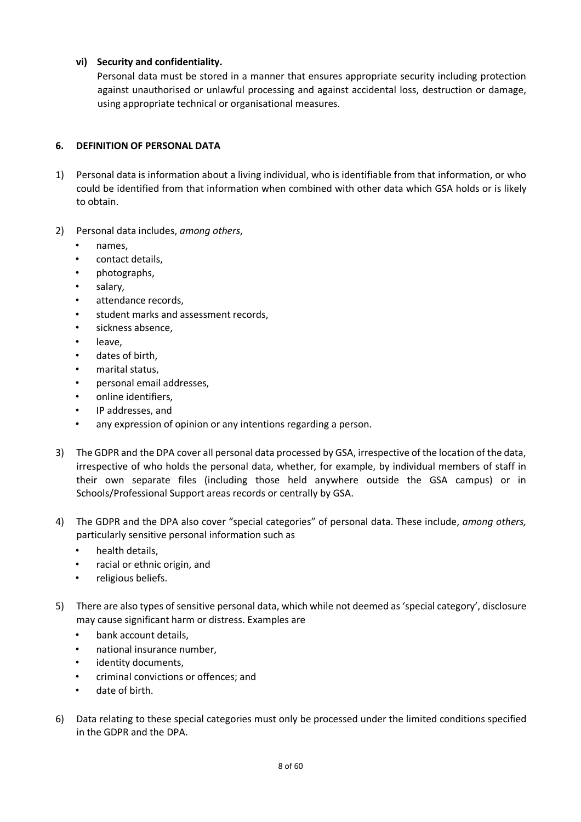## **vi) Security and confidentiality.**

Personal data must be stored in a manner that ensures appropriate security including protection against unauthorised or unlawful processing and against accidental loss, destruction or damage, using appropriate technical or organisational measures.

## **6. DEFINITION OF PERSONAL DATA**

- 1) Personal data is information about a living individual, who is identifiable from that information, or who could be identified from that information when combined with other data which GSA holds or is likely to obtain.
- 2) Personal data includes, *among others*,
	- names,
	- contact details,
	- photographs,
	- salary,
	- attendance records.
	- student marks and assessment records,
	- sickness absence,
	- leave,
	- dates of birth,
	- marital status,
	- personal email addresses,
	- online identifiers,
	- IP addresses, and
	- any expression of opinion or any intentions regarding a person.
- 3) The GDPR and the DPA cover all personal data processed by GSA, irrespective of the location of the data, irrespective of who holds the personal data, whether, for example, by individual members of staff in their own separate files (including those held anywhere outside the GSA campus) or in Schools/Professional Support areas records or centrally by GSA.
- 4) The GDPR and the DPA also cover "special categories" of personal data. These include, *among others,* particularly sensitive personal information such as
	- health details,
	- racial or ethnic origin, and
	- religious beliefs.
- 5) There are also types of sensitive personal data, which while not deemed as 'special category', disclosure may cause significant harm or distress. Examples are
	- bank account details,
	- national insurance number,
	- identity documents.
	- criminal convictions or offences; and
	- date of birth.
- 6) Data relating to these special categories must only be processed under the limited conditions specified in the GDPR and the DPA.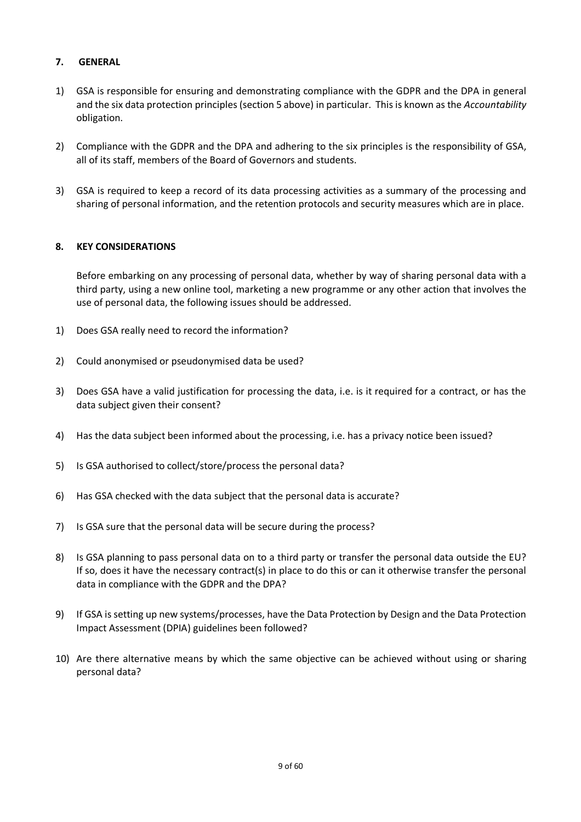## **7. GENERAL**

- 1) GSA is responsible for ensuring and demonstrating compliance with the GDPR and the DPA in general and the six data protection principles (section 5 above) in particular. This is known as the *Accountability* obligation.
- 2) Compliance with the GDPR and the DPA and adhering to the six principles is the responsibility of GSA, all of its staff, members of the Board of Governors and students.
- 3) GSA is required to keep a record of its data processing activities as a summary of the processing and sharing of personal information, and the retention protocols and security measures which are in place.

## **8. KEY CONSIDERATIONS**

Before embarking on any processing of personal data, whether by way of sharing personal data with a third party, using a new online tool, marketing a new programme or any other action that involves the use of personal data, the following issues should be addressed.

- 1) Does GSA really need to record the information?
- 2) Could anonymised or pseudonymised data be used?
- 3) Does GSA have a valid justification for processing the data, i.e. is it required for a contract, or has the data subject given their consent?
- 4) Has the data subject been informed about the processing, i.e. has a privacy notice been issued?
- 5) Is GSA authorised to collect/store/process the personal data?
- 6) Has GSA checked with the data subject that the personal data is accurate?
- 7) Is GSA sure that the personal data will be secure during the process?
- 8) Is GSA planning to pass personal data on to a third party or transfer the personal data outside the EU? If so, does it have the necessary contract(s) in place to do this or can it otherwise transfer the personal data in compliance with the GDPR and the DPA?
- 9) If GSA is setting up new systems/processes, have the Data Protection by Design and the Data Protection Impact Assessment (DPIA) guidelines been followed?
- 10) Are there alternative means by which the same objective can be achieved without using or sharing personal data?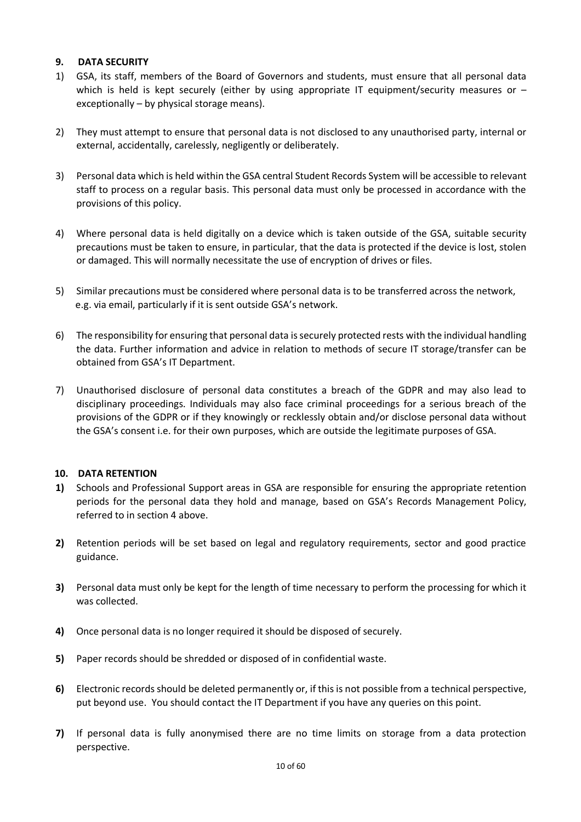## **9. DATA SECURITY**

- 1) GSA, its staff, members of the Board of Governors and students, must ensure that all personal data which is held is kept securely (either by using appropriate IT equipment/security measures or – exceptionally – by physical storage means).
- 2) They must attempt to ensure that personal data is not disclosed to any unauthorised party, internal or external, accidentally, carelessly, negligently or deliberately.
- 3) Personal data which is held within the GSA central Student Records System will be accessible to relevant staff to process on a regular basis. This personal data must only be processed in accordance with the provisions of this policy.
- 4) Where personal data is held digitally on a device which is taken outside of the GSA, suitable security precautions must be taken to ensure, in particular, that the data is protected if the device is lost, stolen or damaged. This will normally necessitate the use of encryption of drives or files.
- 5) Similar precautions must be considered where personal data is to be transferred across the network, e.g. via email, particularly if it is sent outside GSA's network.
- 6) The responsibility for ensuring that personal data is securely protected rests with the individual handling the data. Further information and advice in relation to methods of secure IT storage/transfer can be obtained from GSA's IT Department.
- 7) Unauthorised disclosure of personal data constitutes a breach of the GDPR and may also lead to disciplinary proceedings. Individuals may also face criminal proceedings for a serious breach of the provisions of the GDPR or if they knowingly or recklessly obtain and/or disclose personal data without the GSA's consent i.e. for their own purposes, which are outside the legitimate purposes of GSA.

## **10. DATA RETENTION**

- **1)** Schools and Professional Support areas in GSA are responsible for ensuring the appropriate retention periods for the personal data they hold and manage, based on GSA's Records Management Policy, referred to in section 4 above.
- **2)** Retention periods will be set based on legal and regulatory requirements, sector and good practice guidance.
- **3)** Personal data must only be kept for the length of time necessary to perform the processing for which it was collected.
- **4)** Once personal data is no longer required it should be disposed of securely.
- **5)** Paper records should be shredded or disposed of in confidential waste.
- **6)** Electronic records should be deleted permanently or, if this is not possible from a technical perspective, put beyond use. You should contact the IT Department if you have any queries on this point.
- **7)** If personal data is fully anonymised there are no time limits on storage from a data protection perspective.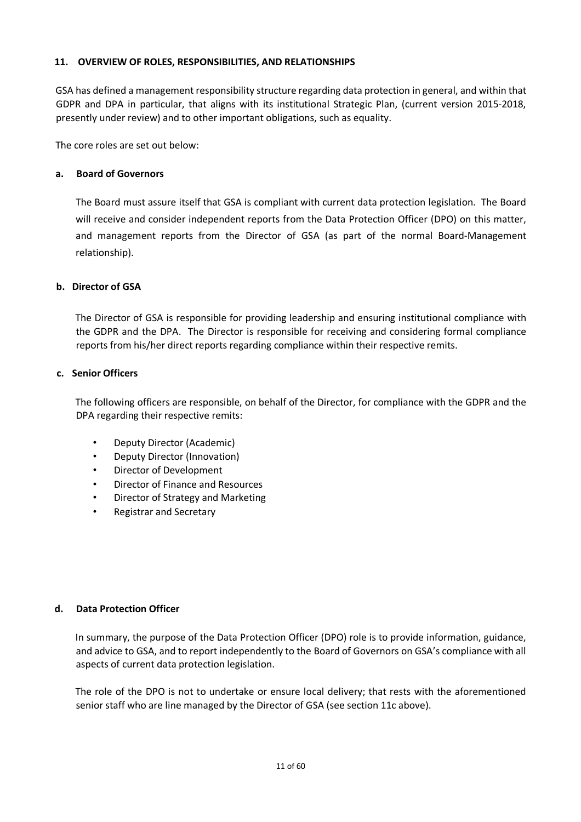## **11. OVERVIEW OF ROLES, RESPONSIBILITIES, AND RELATIONSHIPS**

GSA has defined a management responsibility structure regarding data protection in general, and within that GDPR and DPA in particular, that aligns with its institutional Strategic Plan, (current version 2015-2018, presently under review) and to other important obligations, such as equality.

The core roles are set out below:

## **a. Board of Governors**

The Board must assure itself that GSA is compliant with current data protection legislation. The Board will receive and consider independent reports from the Data Protection Officer (DPO) on this matter, and management reports from the Director of GSA (as part of the normal Board-Management relationship).

## **b. Director of GSA**

The Director of GSA is responsible for providing leadership and ensuring institutional compliance with the GDPR and the DPA. The Director is responsible for receiving and considering formal compliance reports from his/her direct reports regarding compliance within their respective remits.

## **c. Senior Officers**

The following officers are responsible, on behalf of the Director, for compliance with the GDPR and the DPA regarding their respective remits:

- Deputy Director (Academic)
- Deputy Director (Innovation)
- Director of Development
- Director of Finance and Resources
- Director of Strategy and Marketing
- Registrar and Secretary

## **d. Data Protection Officer**

In summary, the purpose of the Data Protection Officer (DPO) role is to provide information, guidance, and advice to GSA, and to report independently to the Board of Governors on GSA's compliance with all aspects of current data protection legislation.

The role of the DPO is not to undertake or ensure local delivery; that rests with the aforementioned senior staff who are line managed by the Director of GSA (see section 11c above).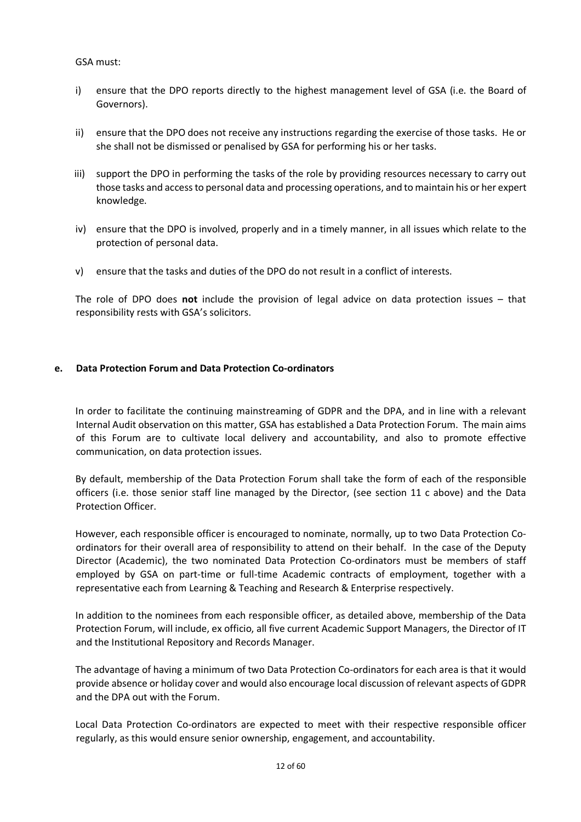## GSA must:

- i) ensure that the DPO reports directly to the highest management level of GSA (i.e. the Board of Governors).
- ii) ensure that the DPO does not receive any instructions regarding the exercise of those tasks. He or she shall not be dismissed or penalised by GSA for performing his or her tasks.
- iii) support the DPO in performing the tasks of the role by providing resources necessary to carry out those tasks and access to personal data and processing operations, and to maintain his or her expert knowledge.
- iv) ensure that the DPO is involved, properly and in a timely manner, in all issues which relate to the protection of personal data.
- v) ensure that the tasks and duties of the DPO do not result in a conflict of interests.

The role of DPO does **not** include the provision of legal advice on data protection issues – that responsibility rests with GSA's solicitors.

## **e. Data Protection Forum and Data Protection Co-ordinators**

In order to facilitate the continuing mainstreaming of GDPR and the DPA, and in line with a relevant Internal Audit observation on this matter, GSA has established a Data Protection Forum. The main aims of this Forum are to cultivate local delivery and accountability, and also to promote effective communication, on data protection issues.

By default, membership of the Data Protection Forum shall take the form of each of the responsible officers (i.e. those senior staff line managed by the Director, (see section 11 c above) and the Data Protection Officer.

However, each responsible officer is encouraged to nominate, normally, up to two Data Protection Coordinators for their overall area of responsibility to attend on their behalf. In the case of the Deputy Director (Academic), the two nominated Data Protection Co-ordinators must be members of staff employed by GSA on part-time or full-time Academic contracts of employment, together with a representative each from Learning & Teaching and Research & Enterprise respectively.

In addition to the nominees from each responsible officer, as detailed above, membership of the Data Protection Forum, will include, ex officio, all five current Academic Support Managers, the Director of IT and the Institutional Repository and Records Manager.

The advantage of having a minimum of two Data Protection Co-ordinators for each area is that it would provide absence or holiday cover and would also encourage local discussion of relevant aspects of GDPR and the DPA out with the Forum.

Local Data Protection Co-ordinators are expected to meet with their respective responsible officer regularly, as this would ensure senior ownership, engagement, and accountability.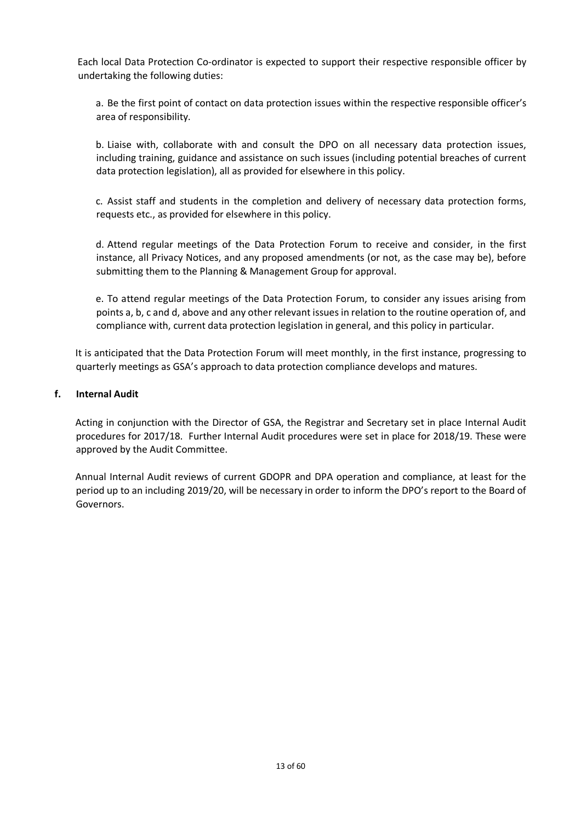Each local Data Protection Co-ordinator is expected to support their respective responsible officer by undertaking the following duties:

a. Be the first point of contact on data protection issues within the respective responsible officer's area of responsibility.

b. Liaise with, collaborate with and consult the DPO on all necessary data protection issues, including training, guidance and assistance on such issues (including potential breaches of current data protection legislation), all as provided for elsewhere in this policy.

c. Assist staff and students in the completion and delivery of necessary data protection forms, requests etc., as provided for elsewhere in this policy.

d. Attend regular meetings of the Data Protection Forum to receive and consider, in the first instance, all Privacy Notices, and any proposed amendments (or not, as the case may be), before submitting them to the Planning & Management Group for approval.

e. To attend regular meetings of the Data Protection Forum, to consider any issues arising from points a, b, c and d, above and any other relevant issues in relation to the routine operation of, and compliance with, current data protection legislation in general, and this policy in particular.

It is anticipated that the Data Protection Forum will meet monthly, in the first instance, progressing to quarterly meetings as GSA's approach to data protection compliance develops and matures.

## **f. Internal Audit**

Acting in conjunction with the Director of GSA, the Registrar and Secretary set in place Internal Audit procedures for 2017/18. Further Internal Audit procedures were set in place for 2018/19. These were approved by the Audit Committee.

Annual Internal Audit reviews of current GDOPR and DPA operation and compliance, at least for the period up to an including 2019/20, will be necessary in order to inform the DPO's report to the Board of Governors.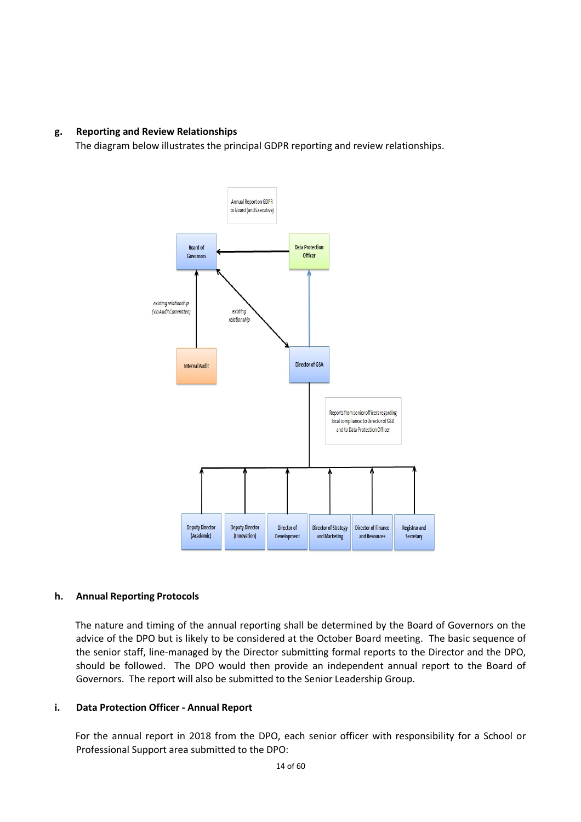## **g. Reporting and Review Relationships**

The diagram below illustrates the principal GDPR reporting and review relationships.



## **h. Annual Reporting Protocols**

The nature and timing of the annual reporting shall be determined by the Board of Governors on the advice of the DPO but is likely to be considered at the October Board meeting. The basic sequence of the senior staff, line-managed by the Director submitting formal reports to the Director and the DPO, should be followed. The DPO would then provide an independent annual report to the Board of Governors. The report will also be submitted to the Senior Leadership Group.

## **i. Data Protection Officer - Annual Report**

For the annual report in 2018 from the DPO, each senior officer with responsibility for a School or Professional Support area submitted to the DPO: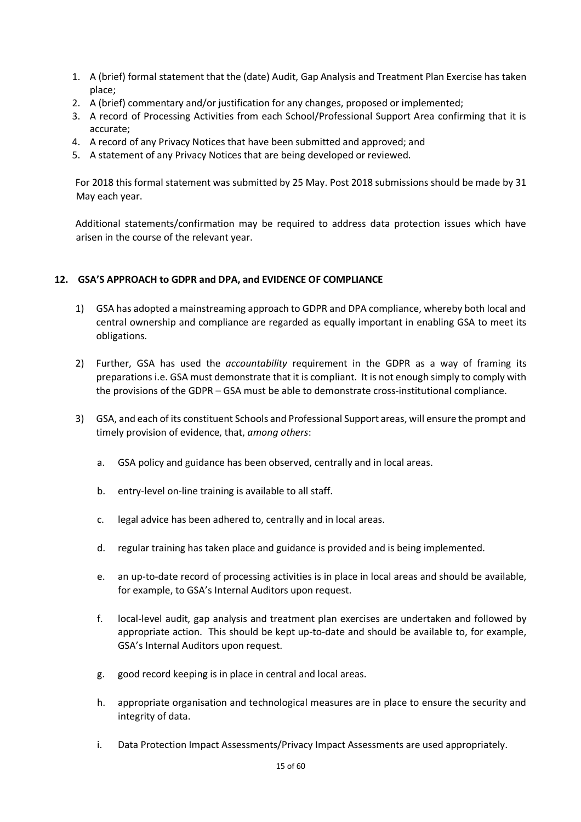- 1. A (brief) formal statement that the (date) Audit, Gap Analysis and Treatment Plan Exercise has taken place;
- 2. A (brief) commentary and/or justification for any changes, proposed or implemented;
- 3. A record of Processing Activities from each School/Professional Support Area confirming that it is accurate;
- 4. A record of any Privacy Notices that have been submitted and approved; and
- 5. A statement of any Privacy Notices that are being developed or reviewed.

For 2018 this formal statement was submitted by 25 May. Post 2018 submissions should be made by 31 May each year.

Additional statements/confirmation may be required to address data protection issues which have arisen in the course of the relevant year.

## **12. GSA'S APPROACH to GDPR and DPA, and EVIDENCE OF COMPLIANCE**

- 1) GSA has adopted a mainstreaming approach to GDPR and DPA compliance, whereby both local and central ownership and compliance are regarded as equally important in enabling GSA to meet its obligations.
- 2) Further, GSA has used the *accountability* requirement in the GDPR as a way of framing its preparations i.e. GSA must demonstrate that it is compliant. It is not enough simply to comply with the provisions of the GDPR – GSA must be able to demonstrate cross-institutional compliance.
- 3) GSA, and each of its constituent Schools and Professional Support areas, will ensure the prompt and timely provision of evidence, that, *among others*:
	- a. GSA policy and guidance has been observed, centrally and in local areas.
	- b. entry-level on-line training is available to all staff.
	- c. legal advice has been adhered to, centrally and in local areas.
	- d. regular training has taken place and guidance is provided and is being implemented.
	- e. an up-to-date record of processing activities is in place in local areas and should be available, for example, to GSA's Internal Auditors upon request.
	- f. local-level audit, gap analysis and treatment plan exercises are undertaken and followed by appropriate action. This should be kept up-to-date and should be available to, for example, GSA's Internal Auditors upon request.
	- g. good record keeping is in place in central and local areas.
	- h. appropriate organisation and technological measures are in place to ensure the security and integrity of data.
	- i. Data Protection Impact Assessments/Privacy Impact Assessments are used appropriately.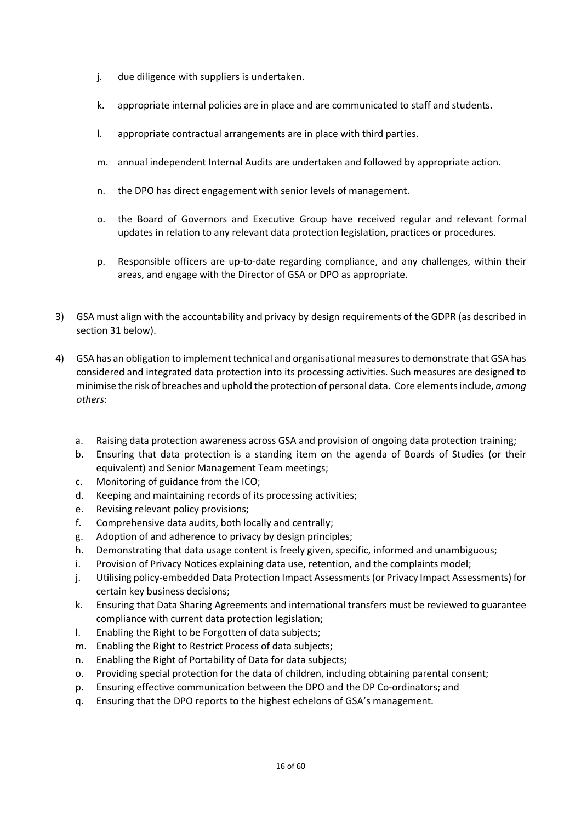- j. due diligence with suppliers is undertaken.
- k. appropriate internal policies are in place and are communicated to staff and students.
- l. appropriate contractual arrangements are in place with third parties.
- m. annual independent Internal Audits are undertaken and followed by appropriate action.
- n. the DPO has direct engagement with senior levels of management.
- o. the Board of Governors and Executive Group have received regular and relevant formal updates in relation to any relevant data protection legislation, practices or procedures.
- p. Responsible officers are up-to-date regarding compliance, and any challenges, within their areas, and engage with the Director of GSA or DPO as appropriate.
- 3) GSA must align with the accountability and privacy by design requirements of the GDPR (as described in section 31 below).
- 4) GSA has an obligation to implement technical and organisational measures to demonstrate that GSA has considered and integrated data protection into its processing activities. Such measures are designed to minimise the risk of breaches and uphold the protection of personal data. Core elements include, *among others*:
	- a. Raising data protection awareness across GSA and provision of ongoing data protection training;
	- b. Ensuring that data protection is a standing item on the agenda of Boards of Studies (or their equivalent) and Senior Management Team meetings;
	- c. Monitoring of guidance from the ICO;
	- d. Keeping and maintaining records of its processing activities;
	- e. Revising relevant policy provisions;
	- f. Comprehensive data audits, both locally and centrally;
	- g. Adoption of and adherence to privacy by design principles;
	- h. Demonstrating that data usage content is freely given, specific, informed and unambiguous;
	- i. Provision of Privacy Notices explaining data use, retention, and the complaints model;
	- j. Utilising policy-embedded Data Protection Impact Assessments (or Privacy Impact Assessments) for certain key business decisions;
	- k. Ensuring that Data Sharing Agreements and international transfers must be reviewed to guarantee compliance with current data protection legislation;
	- l. Enabling the Right to be Forgotten of data subjects;
	- m. Enabling the Right to Restrict Process of data subjects;
	- n. Enabling the Right of Portability of Data for data subjects;
	- o. Providing special protection for the data of children, including obtaining parental consent;
	- p. Ensuring effective communication between the DPO and the DP Co-ordinators; and
	- q. Ensuring that the DPO reports to the highest echelons of GSA's management.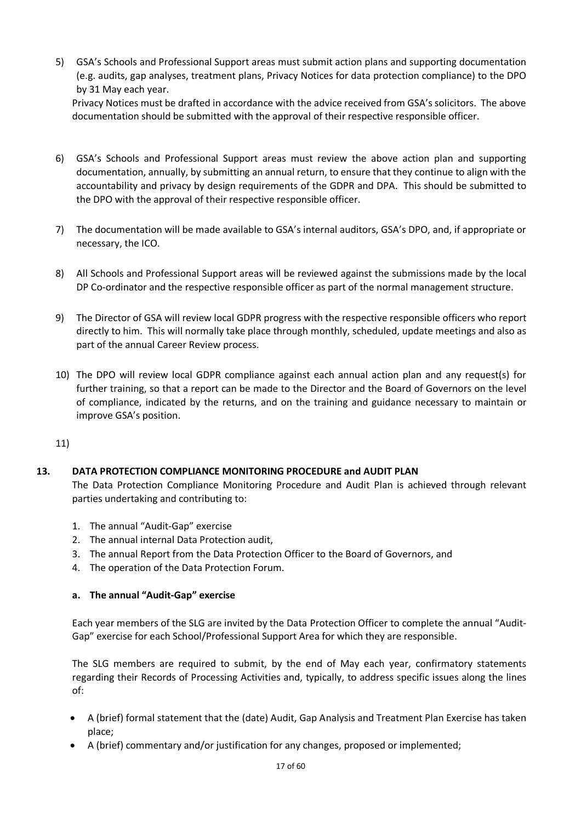5) GSA's Schools and Professional Support areas must submit action plans and supporting documentation (e.g. audits, gap analyses, treatment plans, Privacy Notices for data protection compliance) to the DPO by 31 May each year.

Privacy Notices must be drafted in accordance with the advice received from GSA's solicitors. The above documentation should be submitted with the approval of their respective responsible officer.

- 6) GSA's Schools and Professional Support areas must review the above action plan and supporting documentation, annually, by submitting an annual return, to ensure that they continue to align with the accountability and privacy by design requirements of the GDPR and DPA. This should be submitted to the DPO with the approval of their respective responsible officer.
- 7) The documentation will be made available to GSA's internal auditors, GSA's DPO, and, if appropriate or necessary, the ICO.
- 8) All Schools and Professional Support areas will be reviewed against the submissions made by the local DP Co-ordinator and the respective responsible officer as part of the normal management structure.
- 9) The Director of GSA will review local GDPR progress with the respective responsible officers who report directly to him. This will normally take place through monthly, scheduled, update meetings and also as part of the annual Career Review process.
- 10) The DPO will review local GDPR compliance against each annual action plan and any request(s) for further training, so that a report can be made to the Director and the Board of Governors on the level of compliance, indicated by the returns, and on the training and guidance necessary to maintain or improve GSA's position.

11)

## **13. DATA PROTECTION COMPLIANCE MONITORING PROCEDURE and AUDIT PLAN**

The Data Protection Compliance Monitoring Procedure and Audit Plan is achieved through relevant parties undertaking and contributing to:

- 1. The annual "Audit-Gap" exercise
- 2. The annual internal Data Protection audit,
- 3. The annual Report from the Data Protection Officer to the Board of Governors, and
- 4. The operation of the Data Protection Forum.

## **a. The annual "Audit-Gap" exercise**

Each year members of the SLG are invited by the Data Protection Officer to complete the annual "Audit-Gap" exercise for each School/Professional Support Area for which they are responsible.

The SLG members are required to submit, by the end of May each year, confirmatory statements regarding their Records of Processing Activities and, typically, to address specific issues along the lines of:

- A (brief) formal statement that the (date) Audit, Gap Analysis and Treatment Plan Exercise has taken place;
- A (brief) commentary and/or justification for any changes, proposed or implemented;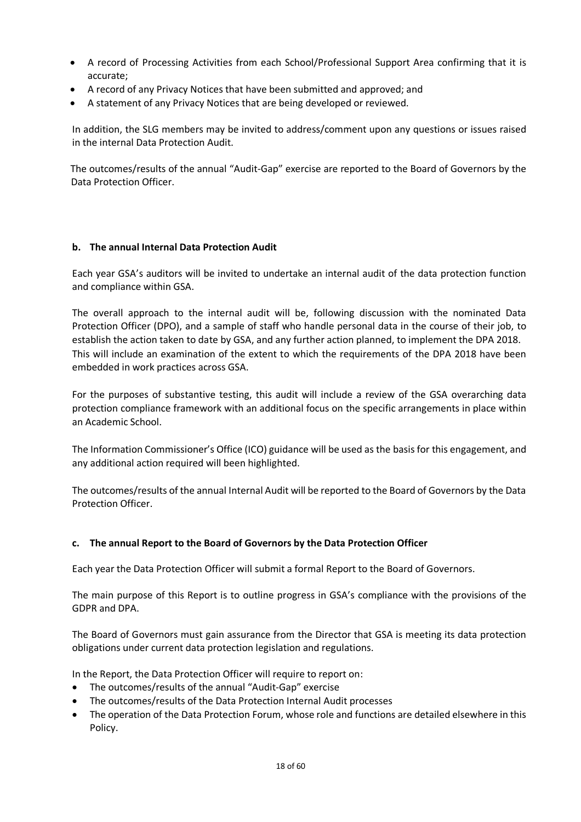- A record of Processing Activities from each School/Professional Support Area confirming that it is accurate;
- A record of any Privacy Notices that have been submitted and approved; and
- A statement of any Privacy Notices that are being developed or reviewed.

In addition, the SLG members may be invited to address/comment upon any questions or issues raised in the internal Data Protection Audit.

The outcomes/results of the annual "Audit-Gap" exercise are reported to the Board of Governors by the Data Protection Officer.

## **b. The annual Internal Data Protection Audit**

Each year GSA's auditors will be invited to undertake an internal audit of the data protection function and compliance within GSA.

The overall approach to the internal audit will be, following discussion with the nominated Data Protection Officer (DPO), and a sample of staff who handle personal data in the course of their job, to establish the action taken to date by GSA, and any further action planned, to implement the DPA 2018. This will include an examination of the extent to which the requirements of the DPA 2018 have been embedded in work practices across GSA.

For the purposes of substantive testing, this audit will include a review of the GSA overarching data protection compliance framework with an additional focus on the specific arrangements in place within an Academic School.

The Information Commissioner's Office (ICO) guidance will be used as the basis for this engagement, and any additional action required will been highlighted.

The outcomes/results of the annual Internal Audit will be reported to the Board of Governors by the Data Protection Officer.

## **c. The annual Report to the Board of Governors by the Data Protection Officer**

Each year the Data Protection Officer will submit a formal Report to the Board of Governors.

The main purpose of this Report is to outline progress in GSA's compliance with the provisions of the GDPR and DPA.

The Board of Governors must gain assurance from the Director that GSA is meeting its data protection obligations under current data protection legislation and regulations.

In the Report, the Data Protection Officer will require to report on:

- The outcomes/results of the annual "Audit-Gap" exercise
- The outcomes/results of the Data Protection Internal Audit processes
- The operation of the Data Protection Forum, whose role and functions are detailed elsewhere in this Policy.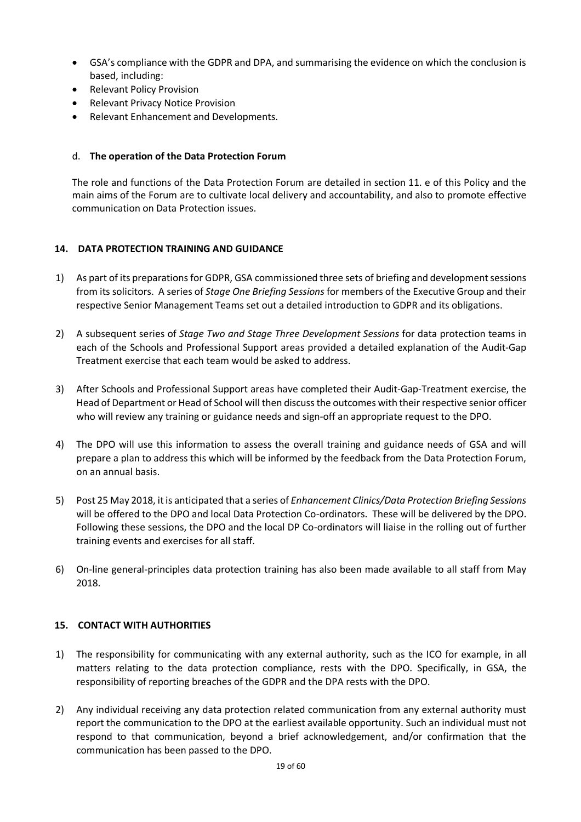- GSA's compliance with the GDPR and DPA, and summarising the evidence on which the conclusion is based, including:
- Relevant Policy Provision
- Relevant Privacy Notice Provision
- Relevant Enhancement and Developments.

## d. **The operation of the Data Protection Forum**

The role and functions of the Data Protection Forum are detailed in section 11. e of this Policy and the main aims of the Forum are to cultivate local delivery and accountability, and also to promote effective communication on Data Protection issues.

## **14. DATA PROTECTION TRAINING AND GUIDANCE**

- 1) As part of its preparations for GDPR, GSA commissioned three sets of briefing and development sessions from its solicitors. A series of *Stage One Briefing Sessions* for members of the Executive Group and their respective Senior Management Teams set out a detailed introduction to GDPR and its obligations.
- 2) A subsequent series of *Stage Two and Stage Three Development Sessions* for data protection teams in each of the Schools and Professional Support areas provided a detailed explanation of the Audit-Gap Treatment exercise that each team would be asked to address.
- 3) After Schools and Professional Support areas have completed their Audit-Gap-Treatment exercise, the Head of Department or Head of School will then discuss the outcomes with their respective senior officer who will review any training or guidance needs and sign-off an appropriate request to the DPO.
- 4) The DPO will use this information to assess the overall training and guidance needs of GSA and will prepare a plan to address this which will be informed by the feedback from the Data Protection Forum, on an annual basis.
- 5) Post 25 May 2018, it is anticipated that a series of *Enhancement Clinics/Data Protection Briefing Sessions*  will be offered to the DPO and local Data Protection Co-ordinators. These will be delivered by the DPO. Following these sessions, the DPO and the local DP Co-ordinators will liaise in the rolling out of further training events and exercises for all staff.
- 6) On-line general-principles data protection training has also been made available to all staff from May 2018.

## **15. CONTACT WITH AUTHORITIES**

- 1) The responsibility for communicating with any external authority, such as the ICO for example, in all matters relating to the data protection compliance, rests with the DPO. Specifically, in GSA, the responsibility of reporting breaches of the GDPR and the DPA rests with the DPO.
- 2) Any individual receiving any data protection related communication from any external authority must report the communication to the DPO at the earliest available opportunity. Such an individual must not respond to that communication, beyond a brief acknowledgement, and/or confirmation that the communication has been passed to the DPO.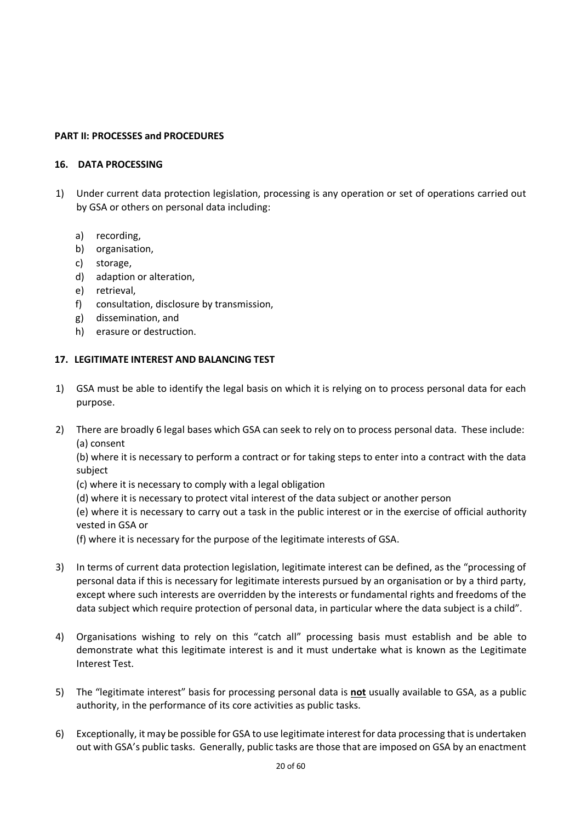## **PART II: PROCESSES and PROCEDURES**

## **16. DATA PROCESSING**

- 1) Under current data protection legislation, processing is any operation or set of operations carried out by GSA or others on personal data including:
	- a) recording,
	- b) organisation,
	- c) storage,
	- d) adaption or alteration,
	- e) retrieval,
	- f) consultation, disclosure by transmission,
	- g) dissemination, and
	- h) erasure or destruction.

## **17. LEGITIMATE INTEREST AND BALANCING TEST**

- 1) GSA must be able to identify the legal basis on which it is relying on to process personal data for each purpose.
- 2) There are broadly 6 legal bases which GSA can seek to rely on to process personal data. These include: (a) consent

(b) where it is necessary to perform a contract or for taking steps to enter into a contract with the data subject

- (c) where it is necessary to comply with a legal obligation
- (d) where it is necessary to protect vital interest of the data subject or another person

(e) where it is necessary to carry out a task in the public interest or in the exercise of official authority vested in GSA or

(f) where it is necessary for the purpose of the legitimate interests of GSA.

- 3) In terms of current data protection legislation, legitimate interest can be defined, as the "processing of personal data if this is necessary for legitimate interests pursued by an organisation or by a third party, except where such interests are overridden by the interests or fundamental rights and freedoms of the data subject which require protection of personal data, in particular where the data subject is a child".
- 4) Organisations wishing to rely on this "catch all" processing basis must establish and be able to demonstrate what this legitimate interest is and it must undertake what is known as the Legitimate Interest Test.
- 5) The "legitimate interest" basis for processing personal data is **not** usually available to GSA, as a public authority, in the performance of its core activities as public tasks.
- 6) Exceptionally, it may be possible for GSA to use legitimate interest for data processing that is undertaken out with GSA's public tasks. Generally, public tasks are those that are imposed on GSA by an enactment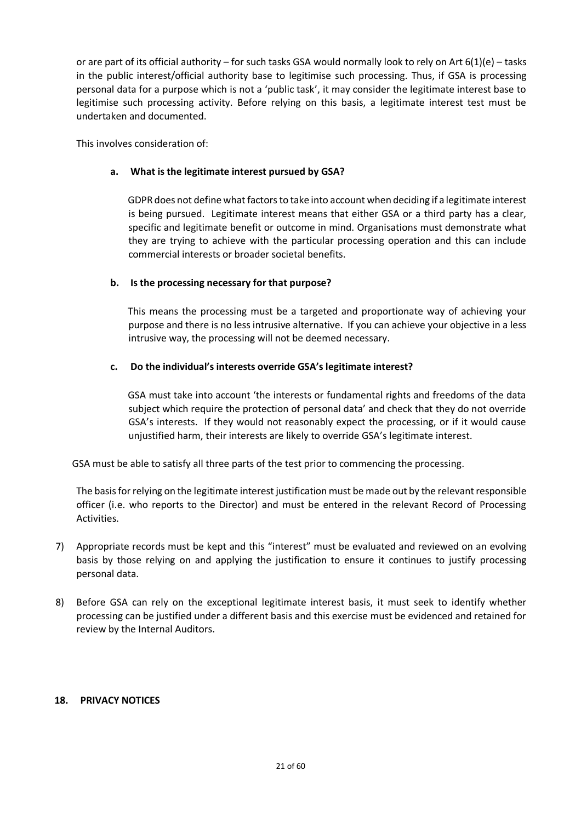or are part of its official authority – for such tasks GSA would normally look to rely on Art  $6(1)(e)$  – tasks in the public interest/official authority base to legitimise such processing. Thus, if GSA is processing personal data for a purpose which is not a 'public task', it may consider the legitimate interest base to legitimise such processing activity. Before relying on this basis, a legitimate interest test must be undertaken and documented.

This involves consideration of:

## **a. What is the legitimate interest pursued by GSA?**

GDPR does not define what factors to take into account when deciding if a legitimate interest is being pursued. Legitimate interest means that either GSA or a third party has a clear, specific and legitimate benefit or outcome in mind. Organisations must demonstrate what they are trying to achieve with the particular processing operation and this can include commercial interests or broader societal benefits.

## **b. Is the processing necessary for that purpose?**

This means the processing must be a targeted and proportionate way of achieving your purpose and there is no less intrusive alternative. If you can achieve your objective in a less intrusive way, the processing will not be deemed necessary.

## **c. Do the individual's interests override GSA's legitimate interest?**

GSA must take into account 'the interests or fundamental rights and freedoms of the data subject which require the protection of personal data' and check that they do not override GSA's interests. If they would not reasonably expect the processing, or if it would cause unjustified harm, their interests are likely to override GSA's legitimate interest.

GSA must be able to satisfy all three parts of the test prior to commencing the processing.

The basis for relying on the legitimate interest justification must be made out by the relevant responsible officer (i.e. who reports to the Director) and must be entered in the relevant Record of Processing Activities.

- 7) Appropriate records must be kept and this "interest" must be evaluated and reviewed on an evolving basis by those relying on and applying the justification to ensure it continues to justify processing personal data.
- 8) Before GSA can rely on the exceptional legitimate interest basis, it must seek to identify whether processing can be justified under a different basis and this exercise must be evidenced and retained for review by the Internal Auditors.

## **18. PRIVACY NOTICES**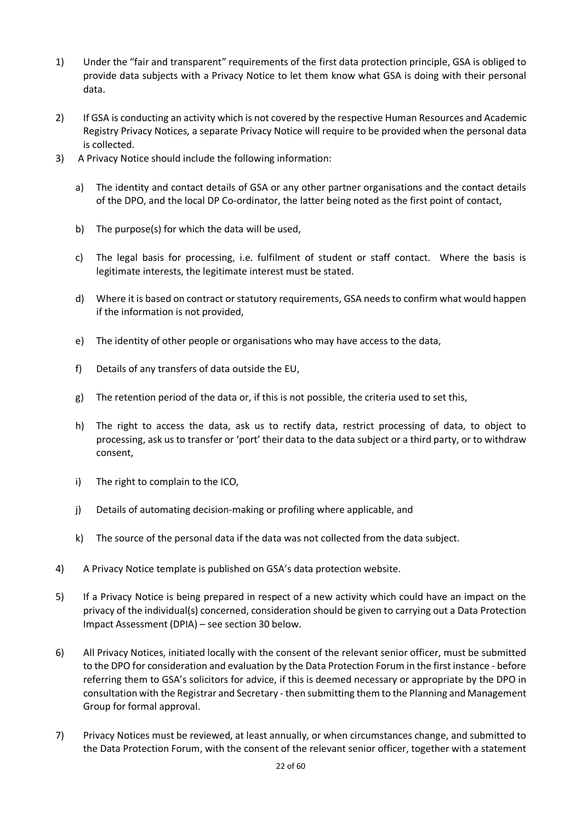- 1) Under the "fair and transparent" requirements of the first data protection principle, GSA is obliged to provide data subjects with a Privacy Notice to let them know what GSA is doing with their personal data.
- 2) If GSA is conducting an activity which is not covered by the respective Human Resources and Academic Registry Privacy Notices, a separate Privacy Notice will require to be provided when the personal data is collected.
- 3) A Privacy Notice should include the following information:
	- a) The identity and contact details of GSA or any other partner organisations and the contact details of the DPO, and the local DP Co-ordinator, the latter being noted as the first point of contact,
	- b) The purpose(s) for which the data will be used,
	- c) The legal basis for processing, i.e. fulfilment of student or staff contact. Where the basis is legitimate interests, the legitimate interest must be stated.
	- d) Where it is based on contract or statutory requirements, GSA needs to confirm what would happen if the information is not provided,
	- e) The identity of other people or organisations who may have access to the data,
	- f) Details of any transfers of data outside the EU,
	- g) The retention period of the data or, if this is not possible, the criteria used to set this,
	- h) The right to access the data, ask us to rectify data, restrict processing of data, to object to processing, ask us to transfer or 'port' their data to the data subject or a third party, or to withdraw consent,
	- i) The right to complain to the ICO,
	- j) Details of automating decision-making or profiling where applicable, and
	- k) The source of the personal data if the data was not collected from the data subject.
- 4) A Privacy Notice template is published on GSA's data protection website.
- 5) If a Privacy Notice is being prepared in respect of a new activity which could have an impact on the privacy of the individual(s) concerned, consideration should be given to carrying out a Data Protection Impact Assessment (DPIA) – see section 30 below.
- 6) All Privacy Notices, initiated locally with the consent of the relevant senior officer, must be submitted to the DPO for consideration and evaluation by the Data Protection Forum in the first instance - before referring them to GSA's solicitors for advice, if this is deemed necessary or appropriate by the DPO in consultation with the Registrar and Secretary - then submitting them to the Planning and Management Group for formal approval.
- 7) Privacy Notices must be reviewed, at least annually, or when circumstances change, and submitted to the Data Protection Forum, with the consent of the relevant senior officer, together with a statement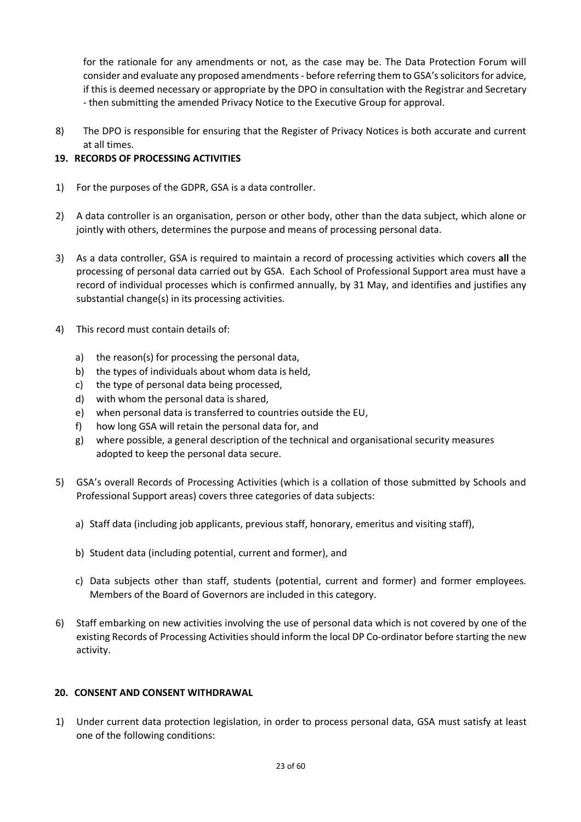for the rationale for any amendments or not, as the case may be. The Data Protection Forum will consider and evaluate any proposed amendments - before referring them to GSA's solicitors for advice, if this is deemed necessary or appropriate by the DPO in consultation with the Registrar and Secretary - then submitting the amended Privacy Notice to the Executive Group for approval.

8) The DPO is responsible for ensuring that the Register of Privacy Notices is both accurate and current at all times.

## **19. RECORDS OF PROCESSING ACTIVITIES**

- 1) For the purposes of the GDPR, GSA is a data controller.
- 2) A data controller is an organisation, person or other body, other than the data subject, which alone or jointly with others, determines the purpose and means of processing personal data.
- 3) As a data controller, GSA is required to maintain a record of processing activities which covers **all** the processing of personal data carried out by GSA. Each School of Professional Support area must have a record of individual processes which is confirmed annually, by 31 May, and identifies and justifies any substantial change(s) in its processing activities.
- 4) This record must contain details of:
	- a) the reason(s) for processing the personal data,
	- b) the types of individuals about whom data is held,
	- c) the type of personal data being processed,
	- d) with whom the personal data is shared,
	- e) when personal data is transferred to countries outside the EU,
	- f) how long GSA will retain the personal data for, and
	- g) where possible, a general description of the technical and organisational security measures adopted to keep the personal data secure.
- 5) GSA's overall Records of Processing Activities (which is a collation of those submitted by Schools and Professional Support areas) covers three categories of data subjects:
	- a) Staff data (including job applicants, previous staff, honorary, emeritus and visiting staff),
	- b) Student data (including potential, current and former), and
	- c) Data subjects other than staff, students (potential, current and former) and former employees. Members of the Board of Governors are included in this category.
- 6) Staff embarking on new activities involving the use of personal data which is not covered by one of the existing Records of Processing Activities should inform the local DP Co-ordinator before starting the new activity.

## **20. CONSENT AND CONSENT WITHDRAWAL**

1) Under current data protection legislation, in order to process personal data, GSA must satisfy at least one of the following conditions: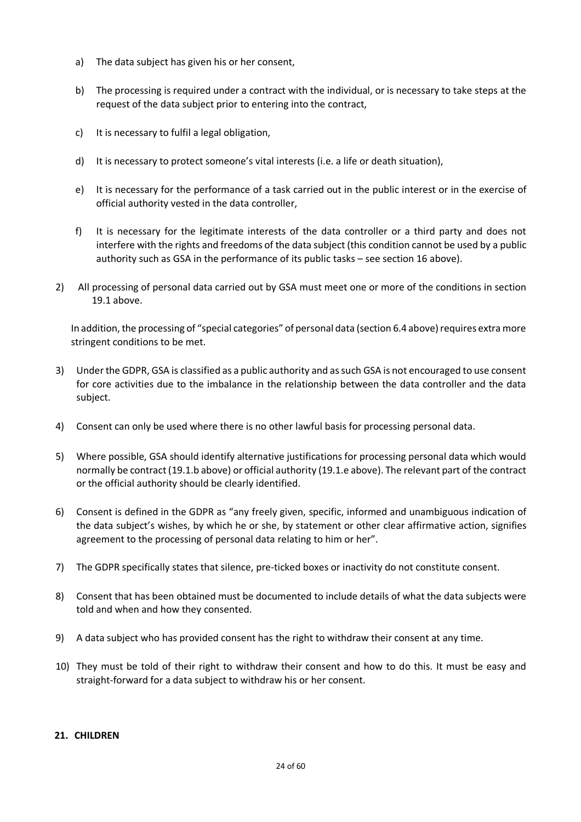- a) The data subject has given his or her consent,
- b) The processing is required under a contract with the individual, or is necessary to take steps at the request of the data subject prior to entering into the contract,
- c) It is necessary to fulfil a legal obligation,
- d) It is necessary to protect someone's vital interests (i.e. a life or death situation),
- e) It is necessary for the performance of a task carried out in the public interest or in the exercise of official authority vested in the data controller,
- f) It is necessary for the legitimate interests of the data controller or a third party and does not interfere with the rights and freedoms of the data subject (this condition cannot be used by a public authority such as GSA in the performance of its public tasks – see section 16 above).
- 2) All processing of personal data carried out by GSA must meet one or more of the conditions in section 19.1 above.

In addition, the processing of "special categories" of personal data (section 6.4 above) requires extra more stringent conditions to be met.

- 3) Under the GDPR, GSA is classified as a public authority and as such GSA is not encouraged to use consent for core activities due to the imbalance in the relationship between the data controller and the data subject.
- 4) Consent can only be used where there is no other lawful basis for processing personal data.
- 5) Where possible, GSA should identify alternative justifications for processing personal data which would normally be contract (19.1.b above) or official authority (19.1.e above). The relevant part of the contract or the official authority should be clearly identified.
- 6) Consent is defined in the GDPR as "any freely given, specific, informed and unambiguous indication of the data subject's wishes, by which he or she, by statement or other clear affirmative action, signifies agreement to the processing of personal data relating to him or her".
- 7) The GDPR specifically states that silence, pre-ticked boxes or inactivity do not constitute consent.
- 8) Consent that has been obtained must be documented to include details of what the data subjects were told and when and how they consented.
- 9) A data subject who has provided consent has the right to withdraw their consent at any time.
- 10) They must be told of their right to withdraw their consent and how to do this. It must be easy and straight-forward for a data subject to withdraw his or her consent.

## **21. CHILDREN**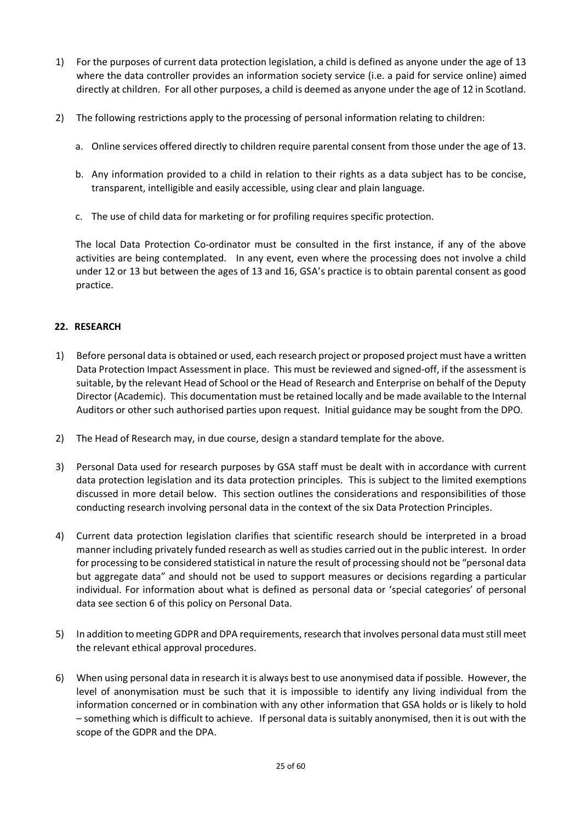- 1) For the purposes of current data protection legislation, a child is defined as anyone under the age of 13 where the data controller provides an information society service (i.e. a paid for service online) aimed directly at children. For all other purposes, a child is deemed as anyone under the age of 12 in Scotland.
- 2) The following restrictions apply to the processing of personal information relating to children:
	- a. Online services offered directly to children require parental consent from those under the age of 13.
	- b. Any information provided to a child in relation to their rights as a data subject has to be concise, transparent, intelligible and easily accessible, using clear and plain language.
	- c. The use of child data for marketing or for profiling requires specific protection.

The local Data Protection Co-ordinator must be consulted in the first instance, if any of the above activities are being contemplated. In any event, even where the processing does not involve a child under 12 or 13 but between the ages of 13 and 16, GSA's practice is to obtain parental consent as good practice.

## **22. RESEARCH**

- 1) Before personal data is obtained or used, each research project or proposed project must have a written Data Protection Impact Assessment in place. This must be reviewed and signed-off, if the assessment is suitable, by the relevant Head of School or the Head of Research and Enterprise on behalf of the Deputy Director (Academic). This documentation must be retained locally and be made available to the Internal Auditors or other such authorised parties upon request. Initial guidance may be sought from the DPO.
- 2) The Head of Research may, in due course, design a standard template for the above.
- 3) Personal Data used for research purposes by GSA staff must be dealt with in accordance with current data protection legislation and its data protection principles. This is subject to the limited exemptions discussed in more detail below. This section outlines the considerations and responsibilities of those conducting research involving personal data in the context of the six Data Protection Principles.
- 4) Current data protection legislation clarifies that scientific research should be interpreted in a broad manner including privately funded research as well as studies carried out in the public interest. In order for processing to be considered statistical in nature the result of processing should not be "personal data but aggregate data" and should not be used to support measures or decisions regarding a particular individual. For information about what is defined as personal data or 'special categories' of personal data see section 6 of this policy on Personal Data.
- 5) In addition to meeting GDPR and DPA requirements, research that involves personal data must still meet the relevant ethical approval procedures.
- 6) When using personal data in research it is always best to use anonymised data if possible. However, the level of anonymisation must be such that it is impossible to identify any living individual from the information concerned or in combination with any other information that GSA holds or is likely to hold – something which is difficult to achieve. If personal data is suitably anonymised, then it is out with the scope of the GDPR and the DPA.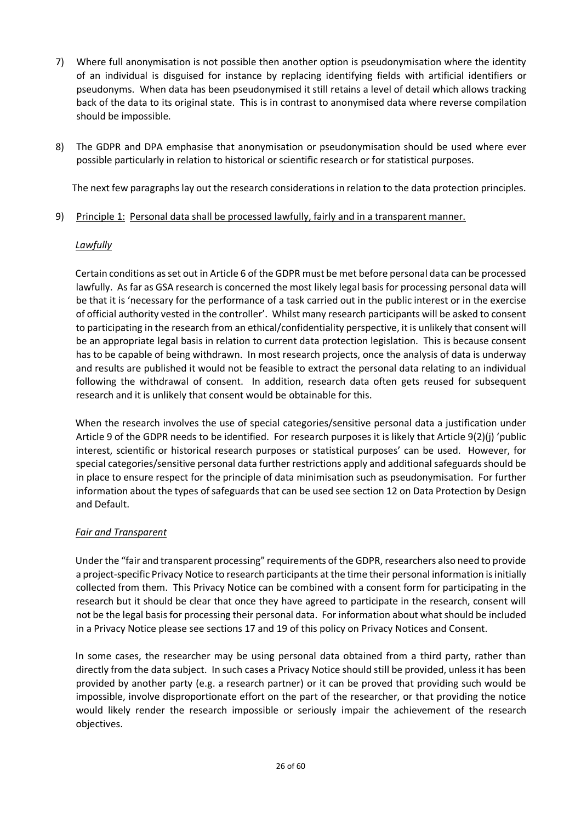- 7) Where full anonymisation is not possible then another option is pseudonymisation where the identity of an individual is disguised for instance by replacing identifying fields with artificial identifiers or pseudonyms. When data has been pseudonymised it still retains a level of detail which allows tracking back of the data to its original state. This is in contrast to anonymised data where reverse compilation should be impossible.
- 8) The GDPR and DPA emphasise that anonymisation or pseudonymisation should be used where ever possible particularly in relation to historical or scientific research or for statistical purposes.

The next few paragraphs lay out the research considerations in relation to the data protection principles.

9) Principle 1: Personal data shall be processed lawfully, fairly and in a transparent manner.

## *Lawfully*

Certain conditions as set out in Article 6 of the GDPR must be met before personal data can be processed lawfully. As far as GSA research is concerned the most likely legal basis for processing personal data will be that it is 'necessary for the performance of a task carried out in the public interest or in the exercise of official authority vested in the controller'. Whilst many research participants will be asked to consent to participating in the research from an ethical/confidentiality perspective, it is unlikely that consent will be an appropriate legal basis in relation to current data protection legislation. This is because consent has to be capable of being withdrawn. In most research projects, once the analysis of data is underway and results are published it would not be feasible to extract the personal data relating to an individual following the withdrawal of consent. In addition, research data often gets reused for subsequent research and it is unlikely that consent would be obtainable for this.

When the research involves the use of special categories/sensitive personal data a justification under Article 9 of the GDPR needs to be identified. For research purposes it is likely that Article 9(2)(j) 'public interest, scientific or historical research purposes or statistical purposes' can be used. However, for special categories/sensitive personal data further restrictions apply and additional safeguards should be in place to ensure respect for the principle of data minimisation such as pseudonymisation. For further information about the types of safeguards that can be used see section 12 on Data Protection by Design and Default.

## *Fair and Transparent*

Under the "fair and transparent processing" requirements of the GDPR, researchers also need to provide a project-specific Privacy Notice to research participants at the time their personal information is initially collected from them. This Privacy Notice can be combined with a consent form for participating in the research but it should be clear that once they have agreed to participate in the research, consent will not be the legal basis for processing their personal data. For information about what should be included in a Privacy Notice please see sections 17 and 19 of this policy on Privacy Notices and Consent.

In some cases, the researcher may be using personal data obtained from a third party, rather than directly from the data subject. In such cases a Privacy Notice should still be provided, unless it has been provided by another party (e.g. a research partner) or it can be proved that providing such would be impossible, involve disproportionate effort on the part of the researcher, or that providing the notice would likely render the research impossible or seriously impair the achievement of the research objectives.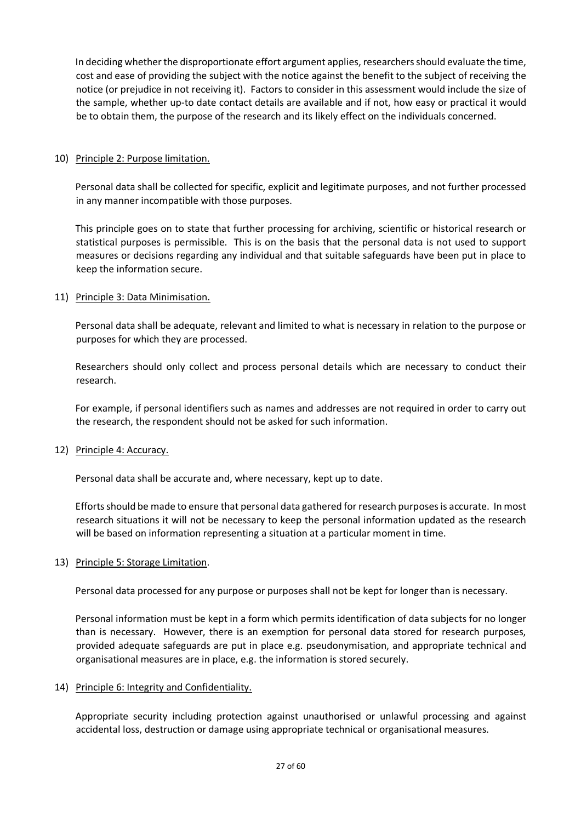In deciding whether the disproportionate effort argument applies, researchers should evaluate the time, cost and ease of providing the subject with the notice against the benefit to the subject of receiving the notice (or prejudice in not receiving it). Factors to consider in this assessment would include the size of the sample, whether up-to date contact details are available and if not, how easy or practical it would be to obtain them, the purpose of the research and its likely effect on the individuals concerned.

## 10) Principle 2: Purpose limitation.

Personal data shall be collected for specific, explicit and legitimate purposes, and not further processed in any manner incompatible with those purposes.

This principle goes on to state that further processing for archiving, scientific or historical research or statistical purposes is permissible. This is on the basis that the personal data is not used to support measures or decisions regarding any individual and that suitable safeguards have been put in place to keep the information secure.

## 11) Principle 3: Data Minimisation.

Personal data shall be adequate, relevant and limited to what is necessary in relation to the purpose or purposes for which they are processed.

Researchers should only collect and process personal details which are necessary to conduct their research.

For example, if personal identifiers such as names and addresses are not required in order to carry out the research, the respondent should not be asked for such information.

12) Principle 4: Accuracy.

Personal data shall be accurate and, where necessary, kept up to date.

Efforts should be made to ensure that personal data gathered for research purposes is accurate. In most research situations it will not be necessary to keep the personal information updated as the research will be based on information representing a situation at a particular moment in time.

## 13) Principle 5: Storage Limitation.

Personal data processed for any purpose or purposes shall not be kept for longer than is necessary.

Personal information must be kept in a form which permits identification of data subjects for no longer than is necessary. However, there is an exemption for personal data stored for research purposes, provided adequate safeguards are put in place e.g. pseudonymisation, and appropriate technical and organisational measures are in place, e.g. the information is stored securely.

## 14) Principle 6: Integrity and Confidentiality.

Appropriate security including protection against unauthorised or unlawful processing and against accidental loss, destruction or damage using appropriate technical or organisational measures.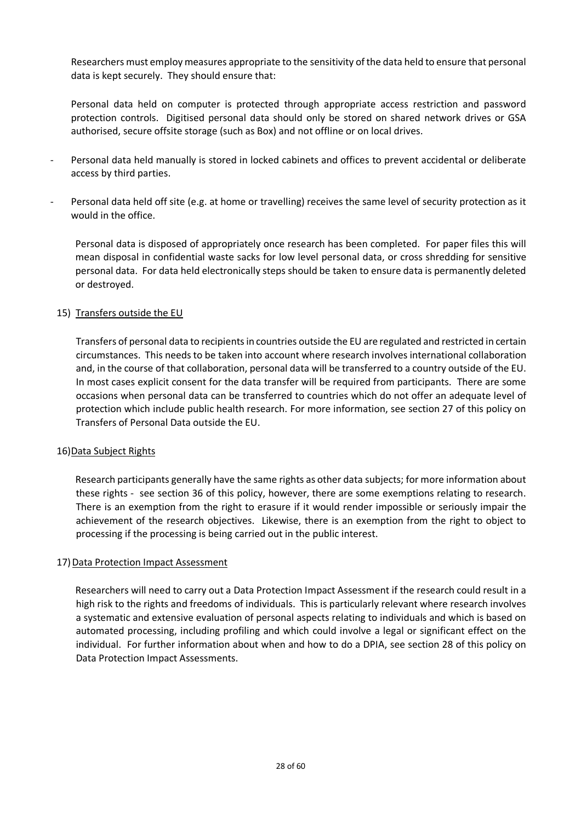Researchers must employ measures appropriate to the sensitivity of the data held to ensure that personal data is kept securely. They should ensure that:

Personal data held on computer is protected through appropriate access restriction and password protection controls. Digitised personal data should only be stored on shared network drives or GSA authorised, secure offsite storage (such as Box) and not offline or on local drives.

- Personal data held manually is stored in locked cabinets and offices to prevent accidental or deliberate access by third parties.
- Personal data held off site (e.g. at home or travelling) receives the same level of security protection as it would in the office.

Personal data is disposed of appropriately once research has been completed. For paper files this will mean disposal in confidential waste sacks for low level personal data, or cross shredding for sensitive personal data. For data held electronically steps should be taken to ensure data is permanently deleted or destroyed.

## 15) Transfers outside the EU

Transfers of personal data to recipients in countries outside the EU are regulated and restricted in certain circumstances. This needs to be taken into account where research involves international collaboration and, in the course of that collaboration, personal data will be transferred to a country outside of the EU. In most cases explicit consent for the data transfer will be required from participants. There are some occasions when personal data can be transferred to countries which do not offer an adequate level of protection which include public health research. For more information, see section 27 of this policy on Transfers of Personal Data outside the EU.

## 16)Data Subject Rights

Research participants generally have the same rights as other data subjects; for more information about these rights - see section 36 of this policy, however, there are some exemptions relating to research. There is an exemption from the right to erasure if it would render impossible or seriously impair the achievement of the research objectives. Likewise, there is an exemption from the right to object to processing if the processing is being carried out in the public interest.

## 17) Data Protection Impact Assessment

Researchers will need to carry out a Data Protection Impact Assessment if the research could result in a high risk to the rights and freedoms of individuals. This is particularly relevant where research involves a systematic and extensive evaluation of personal aspects relating to individuals and which is based on automated processing, including profiling and which could involve a legal or significant effect on the individual. For further information about when and how to do a DPIA, see section 28 of this policy on Data Protection Impact Assessments.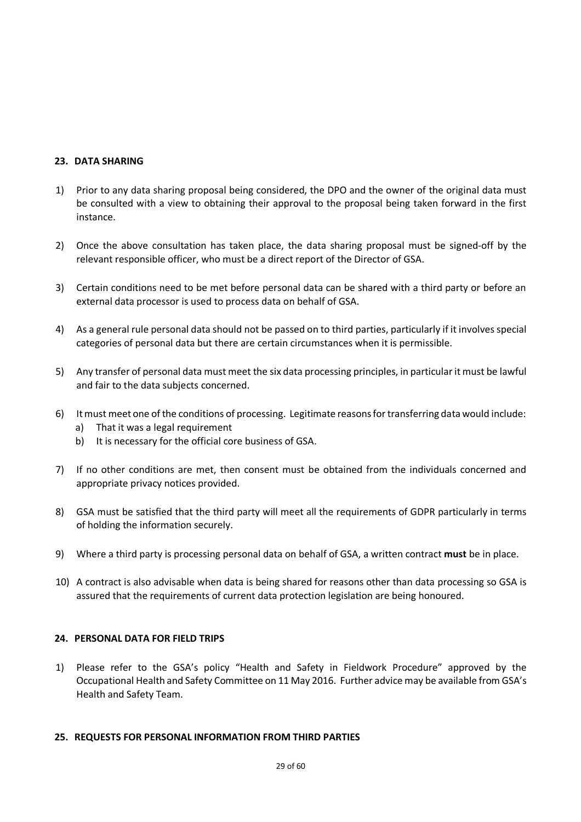## **23. DATA SHARING**

- 1) Prior to any data sharing proposal being considered, the DPO and the owner of the original data must be consulted with a view to obtaining their approval to the proposal being taken forward in the first instance.
- 2) Once the above consultation has taken place, the data sharing proposal must be signed-off by the relevant responsible officer, who must be a direct report of the Director of GSA.
- 3) Certain conditions need to be met before personal data can be shared with a third party or before an external data processor is used to process data on behalf of GSA.
- 4) As a general rule personal data should not be passed on to third parties, particularly if it involves special categories of personal data but there are certain circumstances when it is permissible.
- 5) Any transfer of personal data must meet the six data processing principles, in particular it must be lawful and fair to the data subjects concerned.
- 6) It must meet one of the conditions of processing. Legitimate reasons for transferring data would include:
	- a) That it was a legal requirement
	- b) It is necessary for the official core business of GSA.
- 7) If no other conditions are met, then consent must be obtained from the individuals concerned and appropriate privacy notices provided.
- 8) GSA must be satisfied that the third party will meet all the requirements of GDPR particularly in terms of holding the information securely.
- 9) Where a third party is processing personal data on behalf of GSA, a written contract **must** be in place.
- 10) A contract is also advisable when data is being shared for reasons other than data processing so GSA is assured that the requirements of current data protection legislation are being honoured.

## **24. PERSONAL DATA FOR FIELD TRIPS**

1) Please refer to the GSA's policy "Health and Safety in Fieldwork Procedure" approved by the Occupational Health and Safety Committee on 11 May 2016. Further advice may be available from GSA's Health and Safety Team.

## **25. REQUESTS FOR PERSONAL INFORMATION FROM THIRD PARTIES**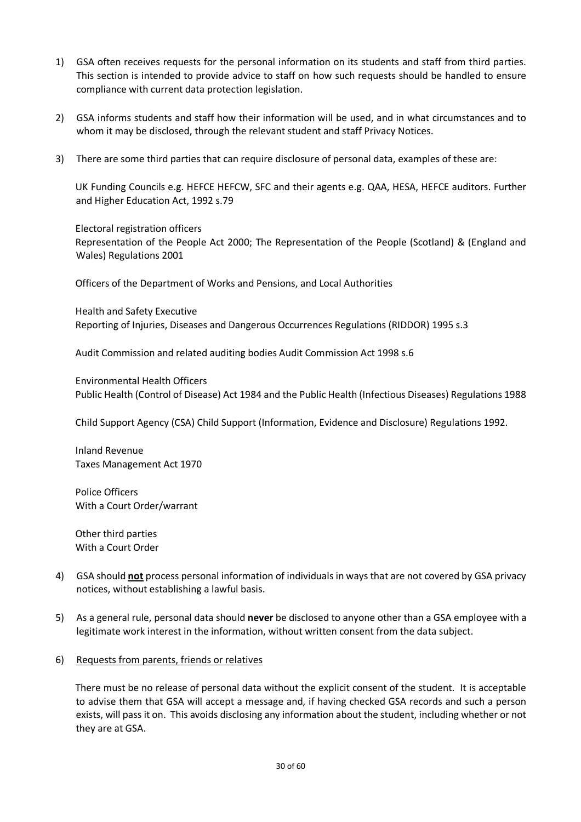- 1) GSA often receives requests for the personal information on its students and staff from third parties. This section is intended to provide advice to staff on how such requests should be handled to ensure compliance with current data protection legislation.
- 2) GSA informs students and staff how their information will be used, and in what circumstances and to whom it may be disclosed, through the relevant student and staff Privacy Notices.
- 3) There are some third parties that can require disclosure of personal data, examples of these are:

UK Funding Councils e.g. HEFCE HEFCW, SFC and their agents e.g. QAA, HESA, HEFCE auditors. Further and Higher Education Act, 1992 s.79

Electoral registration officers Representation of the People Act 2000; The Representation of the People (Scotland) & (England and Wales) Regulations 2001

Officers of the Department of Works and Pensions, and Local Authorities

Health and Safety Executive Reporting of Injuries, Diseases and Dangerous Occurrences Regulations (RIDDOR) 1995 s.3

Audit Commission and related auditing bodies Audit Commission Act 1998 s.6

Environmental Health Officers Public Health (Control of Disease) Act 1984 and the Public Health (Infectious Diseases) Regulations 1988

Child Support Agency (CSA) Child Support (Information, Evidence and Disclosure) Regulations 1992.

Inland Revenue Taxes Management Act 1970

Police Officers With a Court Order/warrant

Other third parties With a Court Order

- 4) GSA should **not** process personal information of individuals in ways that are not covered by GSA privacy notices, without establishing a lawful basis.
- 5) As a general rule, personal data should **never** be disclosed to anyone other than a GSA employee with a legitimate work interest in the information, without written consent from the data subject.
- 6) Requests from parents, friends or relatives

There must be no release of personal data without the explicit consent of the student. It is acceptable to advise them that GSA will accept a message and, if having checked GSA records and such a person exists, will pass it on. This avoids disclosing any information about the student, including whether or not they are at GSA.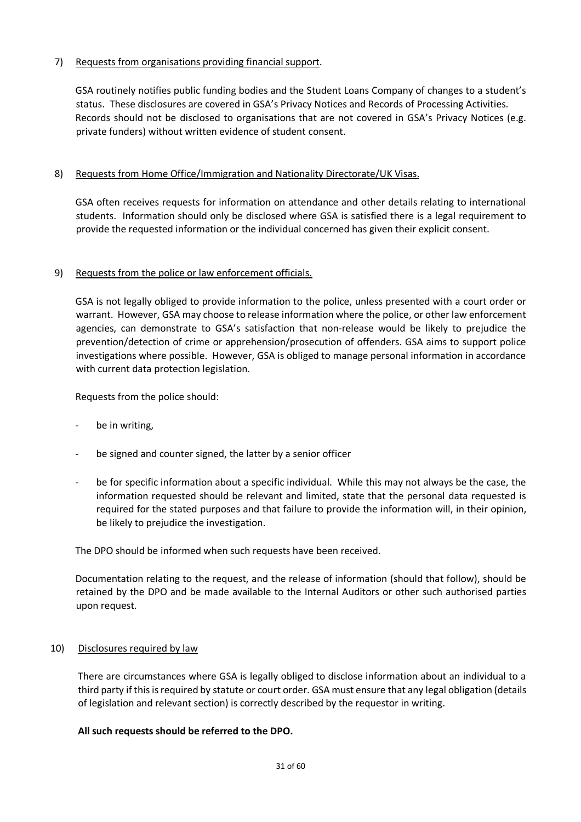## 7) Requests from organisations providing financial support.

GSA routinely notifies public funding bodies and the Student Loans Company of changes to a student's status. These disclosures are covered in GSA's Privacy Notices and Records of Processing Activities. Records should not be disclosed to organisations that are not covered in GSA's Privacy Notices (e.g. private funders) without written evidence of student consent.

## 8) Requests from Home Office/Immigration and Nationality Directorate/UK Visas.

GSA often receives requests for information on attendance and other details relating to international students. Information should only be disclosed where GSA is satisfied there is a legal requirement to provide the requested information or the individual concerned has given their explicit consent.

## 9) Requests from the police or law enforcement officials.

GSA is not legally obliged to provide information to the police, unless presented with a court order or warrant. However, GSA may choose to release information where the police, or other law enforcement agencies, can demonstrate to GSA's satisfaction that non-release would be likely to prejudice the prevention/detection of crime or apprehension/prosecution of offenders. GSA aims to support police investigations where possible. However, GSA is obliged to manage personal information in accordance with current data protection legislation.

Requests from the police should:

- be in writing,
- be signed and counter signed, the latter by a senior officer
- be for specific information about a specific individual. While this may not always be the case, the information requested should be relevant and limited, state that the personal data requested is required for the stated purposes and that failure to provide the information will, in their opinion, be likely to prejudice the investigation.

The DPO should be informed when such requests have been received.

Documentation relating to the request, and the release of information (should that follow), should be retained by the DPO and be made available to the Internal Auditors or other such authorised parties upon request.

## 10) Disclosures required by law

There are circumstances where GSA is legally obliged to disclose information about an individual to a third party if this is required by statute or court order. GSA must ensure that any legal obligation (details of legislation and relevant section) is correctly described by the requestor in writing.

## **All such requests should be referred to the DPO.**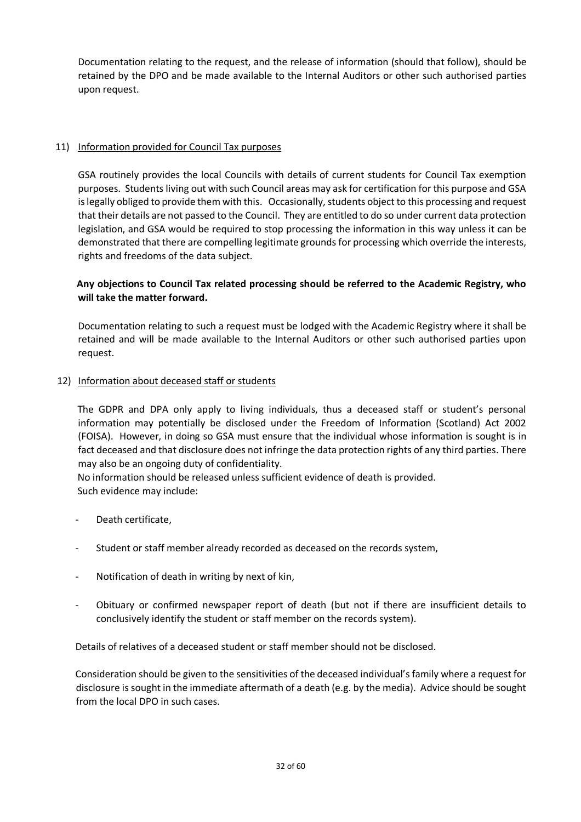Documentation relating to the request, and the release of information (should that follow), should be retained by the DPO and be made available to the Internal Auditors or other such authorised parties upon request.

## 11) Information provided for Council Tax purposes

GSA routinely provides the local Councils with details of current students for Council Tax exemption purposes. Students living out with such Council areas may ask for certification for this purpose and GSA is legally obliged to provide them with this. Occasionally, students object to this processing and request that their details are not passed to the Council. They are entitled to do so under current data protection legislation, and GSA would be required to stop processing the information in this way unless it can be demonstrated that there are compelling legitimate grounds for processing which override the interests, rights and freedoms of the data subject.

## **Any objections to Council Tax related processing should be referred to the Academic Registry, who will take the matter forward.**

Documentation relating to such a request must be lodged with the Academic Registry where it shall be retained and will be made available to the Internal Auditors or other such authorised parties upon request.

## 12) Information about deceased staff or students

The GDPR and DPA only apply to living individuals, thus a deceased staff or student's personal information may potentially be disclosed under the Freedom of Information (Scotland) Act 2002 (FOISA). However, in doing so GSA must ensure that the individual whose information is sought is in fact deceased and that disclosure does not infringe the data protection rights of any third parties. There may also be an ongoing duty of confidentiality.

No information should be released unless sufficient evidence of death is provided. Such evidence may include:

- Death certificate,
- Student or staff member already recorded as deceased on the records system,
- Notification of death in writing by next of kin,
- Obituary or confirmed newspaper report of death (but not if there are insufficient details to conclusively identify the student or staff member on the records system).

Details of relatives of a deceased student or staff member should not be disclosed.

Consideration should be given to the sensitivities of the deceased individual's family where a request for disclosure is sought in the immediate aftermath of a death (e.g. by the media). Advice should be sought from the local DPO in such cases.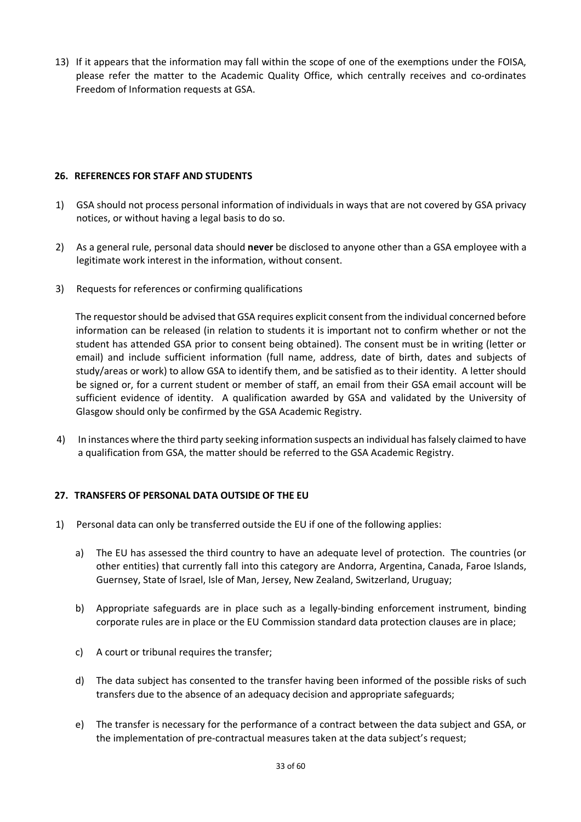13) If it appears that the information may fall within the scope of one of the exemptions under the FOISA, please refer the matter to the Academic Quality Office, which centrally receives and co-ordinates Freedom of Information requests at GSA.

## **26. REFERENCES FOR STAFF AND STUDENTS**

- 1) GSA should not process personal information of individuals in ways that are not covered by GSA privacy notices, or without having a legal basis to do so.
- 2) As a general rule, personal data should **never** be disclosed to anyone other than a GSA employee with a legitimate work interest in the information, without consent.
- 3) Requests for references or confirming qualifications

The requestor should be advised that GSA requires explicit consent from the individual concerned before information can be released (in relation to students it is important not to confirm whether or not the student has attended GSA prior to consent being obtained). The consent must be in writing (letter or email) and include sufficient information (full name, address, date of birth, dates and subjects of study/areas or work) to allow GSA to identify them, and be satisfied as to their identity. A letter should be signed or, for a current student or member of staff, an email from their GSA email account will be sufficient evidence of identity. A qualification awarded by GSA and validated by the University of Glasgow should only be confirmed by the GSA Academic Registry.

4) In instances where the third party seeking information suspects an individual has falsely claimed to have a qualification from GSA, the matter should be referred to the GSA Academic Registry.

## **27. TRANSFERS OF PERSONAL DATA OUTSIDE OF THE EU**

- 1) Personal data can only be transferred outside the EU if one of the following applies:
	- a) The EU has assessed the third country to have an adequate level of protection. The countries (or other entities) that currently fall into this category are Andorra, Argentina, Canada, Faroe Islands, Guernsey, State of Israel, Isle of Man, Jersey, New Zealand, Switzerland, Uruguay;
	- b) Appropriate safeguards are in place such as a legally-binding enforcement instrument, binding corporate rules are in place or the EU Commission standard data protection clauses are in place;
	- c) A court or tribunal requires the transfer;
	- d) The data subject has consented to the transfer having been informed of the possible risks of such transfers due to the absence of an adequacy decision and appropriate safeguards;
	- e) The transfer is necessary for the performance of a contract between the data subject and GSA, or the implementation of pre-contractual measures taken at the data subject's request;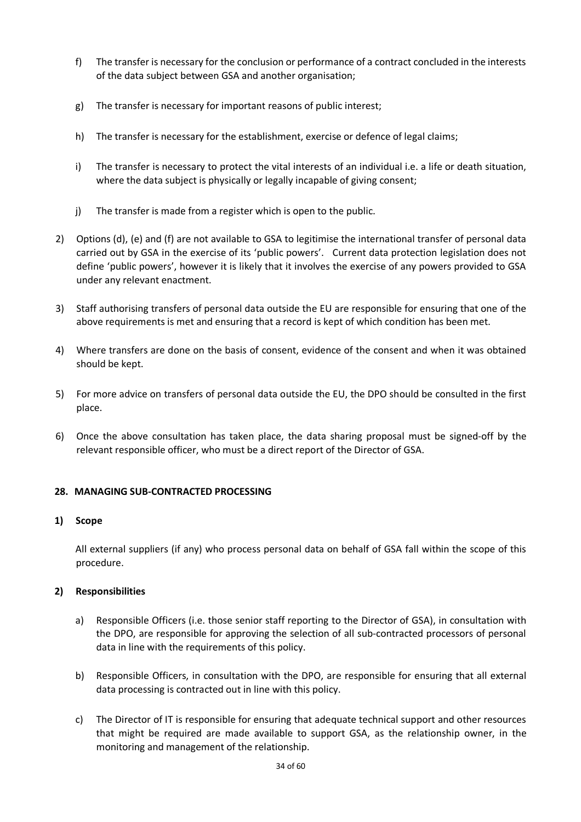- f) The transfer is necessary for the conclusion or performance of a contract concluded in the interests of the data subject between GSA and another organisation;
- g) The transfer is necessary for important reasons of public interest;
- h) The transfer is necessary for the establishment, exercise or defence of legal claims;
- i) The transfer is necessary to protect the vital interests of an individual i.e. a life or death situation, where the data subject is physically or legally incapable of giving consent;
- j) The transfer is made from a register which is open to the public.
- 2) Options (d), (e) and (f) are not available to GSA to legitimise the international transfer of personal data carried out by GSA in the exercise of its 'public powers'. Current data protection legislation does not define 'public powers', however it is likely that it involves the exercise of any powers provided to GSA under any relevant enactment.
- 3) Staff authorising transfers of personal data outside the EU are responsible for ensuring that one of the above requirements is met and ensuring that a record is kept of which condition has been met.
- 4) Where transfers are done on the basis of consent, evidence of the consent and when it was obtained should be kept.
- 5) For more advice on transfers of personal data outside the EU, the DPO should be consulted in the first place.
- 6) Once the above consultation has taken place, the data sharing proposal must be signed-off by the relevant responsible officer, who must be a direct report of the Director of GSA.

## **28. MANAGING SUB-CONTRACTED PROCESSING**

## **1) Scope**

All external suppliers (if any) who process personal data on behalf of GSA fall within the scope of this procedure.

## **2) Responsibilities**

- a) Responsible Officers (i.e. those senior staff reporting to the Director of GSA), in consultation with the DPO, are responsible for approving the selection of all sub-contracted processors of personal data in line with the requirements of this policy.
- b) Responsible Officers, in consultation with the DPO, are responsible for ensuring that all external data processing is contracted out in line with this policy.
- c) The Director of IT is responsible for ensuring that adequate technical support and other resources that might be required are made available to support GSA, as the relationship owner, in the monitoring and management of the relationship.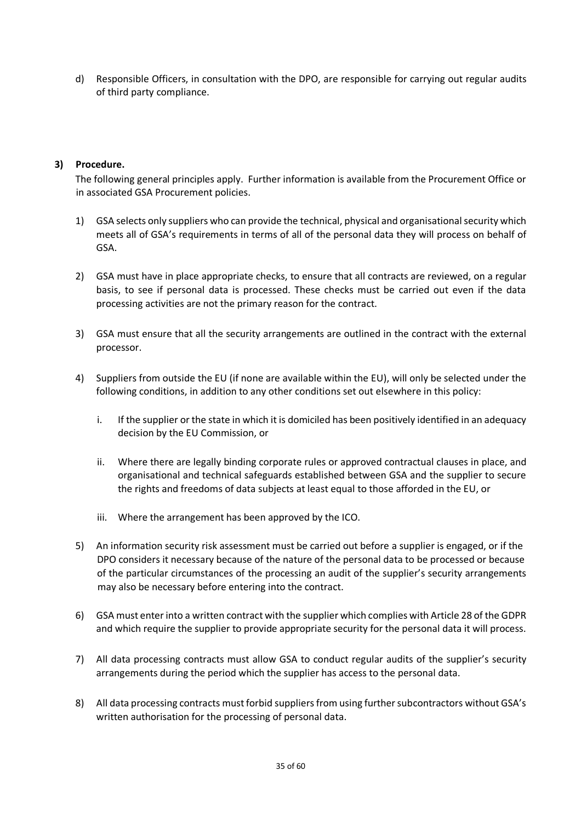d) Responsible Officers, in consultation with the DPO, are responsible for carrying out regular audits of third party compliance.

## **3) Procedure.**

The following general principles apply. Further information is available from the Procurement Office or in associated GSA Procurement policies.

- 1) GSA selects only suppliers who can provide the technical, physical and organisational security which meets all of GSA's requirements in terms of all of the personal data they will process on behalf of GSA.
- 2) GSA must have in place appropriate checks, to ensure that all contracts are reviewed, on a regular basis, to see if personal data is processed. These checks must be carried out even if the data processing activities are not the primary reason for the contract.
- 3) GSA must ensure that all the security arrangements are outlined in the contract with the external processor.
- 4) Suppliers from outside the EU (if none are available within the EU), will only be selected under the following conditions, in addition to any other conditions set out elsewhere in this policy:
	- i. If the supplier or the state in which it is domiciled has been positively identified in an adequacy decision by the EU Commission, or
	- ii. Where there are legally binding corporate rules or approved contractual clauses in place, and organisational and technical safeguards established between GSA and the supplier to secure the rights and freedoms of data subjects at least equal to those afforded in the EU, or
	- iii. Where the arrangement has been approved by the ICO.
- 5) An information security risk assessment must be carried out before a supplier is engaged, or if the DPO considers it necessary because of the nature of the personal data to be processed or because of the particular circumstances of the processing an audit of the supplier's security arrangements may also be necessary before entering into the contract.
- 6) GSA must enter into a written contract with the supplier which complies with Article 28 of the GDPR and which require the supplier to provide appropriate security for the personal data it will process.
- 7) All data processing contracts must allow GSA to conduct regular audits of the supplier's security arrangements during the period which the supplier has access to the personal data.
- 8) All data processing contracts must forbid suppliers from using further subcontractors without GSA's written authorisation for the processing of personal data.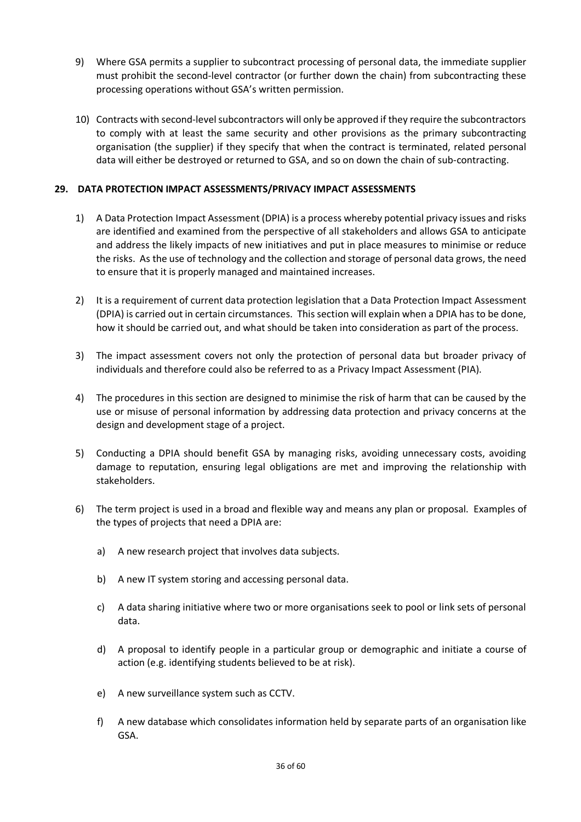- 9) Where GSA permits a supplier to subcontract processing of personal data, the immediate supplier must prohibit the second-level contractor (or further down the chain) from subcontracting these processing operations without GSA's written permission.
- 10) Contracts with second-level subcontractors will only be approved if they require the subcontractors to comply with at least the same security and other provisions as the primary subcontracting organisation (the supplier) if they specify that when the contract is terminated, related personal data will either be destroyed or returned to GSA, and so on down the chain of sub-contracting.

## **29. DATA PROTECTION IMPACT ASSESSMENTS/PRIVACY IMPACT ASSESSMENTS**

- 1) A Data Protection Impact Assessment (DPIA) is a process whereby potential privacy issues and risks are identified and examined from the perspective of all stakeholders and allows GSA to anticipate and address the likely impacts of new initiatives and put in place measures to minimise or reduce the risks. As the use of technology and the collection and storage of personal data grows, the need to ensure that it is properly managed and maintained increases.
- 2) It is a requirement of current data protection legislation that a Data Protection Impact Assessment (DPIA) is carried out in certain circumstances. This section will explain when a DPIA has to be done, how it should be carried out, and what should be taken into consideration as part of the process.
- 3) The impact assessment covers not only the protection of personal data but broader privacy of individuals and therefore could also be referred to as a Privacy Impact Assessment (PIA).
- 4) The procedures in this section are designed to minimise the risk of harm that can be caused by the use or misuse of personal information by addressing data protection and privacy concerns at the design and development stage of a project.
- 5) Conducting a DPIA should benefit GSA by managing risks, avoiding unnecessary costs, avoiding damage to reputation, ensuring legal obligations are met and improving the relationship with stakeholders.
- 6) The term project is used in a broad and flexible way and means any plan or proposal. Examples of the types of projects that need a DPIA are:
	- a) A new research project that involves data subjects.
	- b) A new IT system storing and accessing personal data.
	- c) A data sharing initiative where two or more organisations seek to pool or link sets of personal data.
	- d) A proposal to identify people in a particular group or demographic and initiate a course of action (e.g. identifying students believed to be at risk).
	- e) A new surveillance system such as CCTV.
	- f) A new database which consolidates information held by separate parts of an organisation like GSA.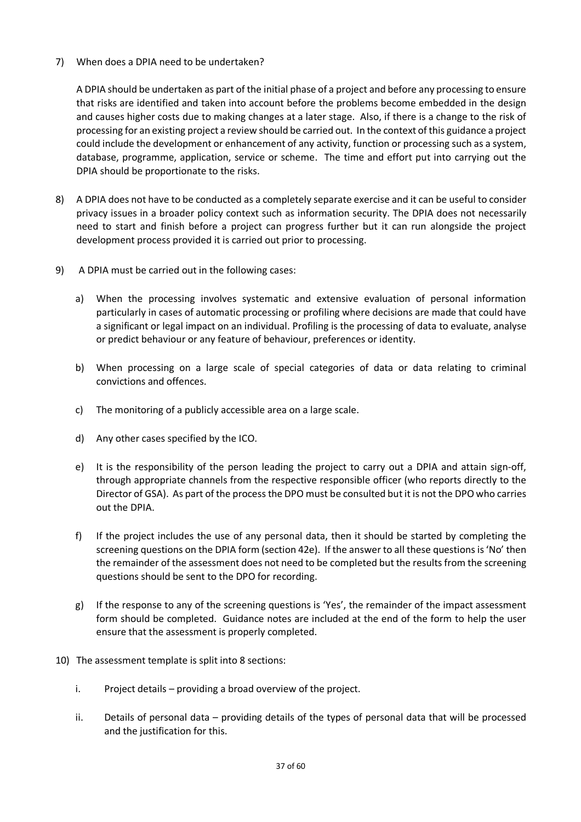7) When does a DPIA need to be undertaken?

A DPIA should be undertaken as part of the initial phase of a project and before any processing to ensure that risks are identified and taken into account before the problems become embedded in the design and causes higher costs due to making changes at a later stage. Also, if there is a change to the risk of processing for an existing project a review should be carried out. In the context of this guidance a project could include the development or enhancement of any activity, function or processing such as a system, database, programme, application, service or scheme. The time and effort put into carrying out the DPIA should be proportionate to the risks.

- 8) A DPIA does not have to be conducted as a completely separate exercise and it can be useful to consider privacy issues in a broader policy context such as information security. The DPIA does not necessarily need to start and finish before a project can progress further but it can run alongside the project development process provided it is carried out prior to processing.
- 9) A DPIA must be carried out in the following cases:
	- a) When the processing involves systematic and extensive evaluation of personal information particularly in cases of automatic processing or profiling where decisions are made that could have a significant or legal impact on an individual. Profiling is the processing of data to evaluate, analyse or predict behaviour or any feature of behaviour, preferences or identity.
	- b) When processing on a large scale of special categories of data or data relating to criminal convictions and offences.
	- c) The monitoring of a publicly accessible area on a large scale.
	- d) Any other cases specified by the ICO.
	- e) It is the responsibility of the person leading the project to carry out a DPIA and attain sign-off, through appropriate channels from the respective responsible officer (who reports directly to the Director of GSA). As part of the process the DPO must be consulted but it is not the DPO who carries out the DPIA.
	- f) If the project includes the use of any personal data, then it should be started by completing the screening questions on the DPIA form (section 42e). If the answer to all these questions is 'No' then the remainder of the assessment does not need to be completed but the results from the screening questions should be sent to the DPO for recording.
	- g) If the response to any of the screening questions is 'Yes', the remainder of the impact assessment form should be completed. Guidance notes are included at the end of the form to help the user ensure that the assessment is properly completed.
- 10) The assessment template is split into 8 sections:
	- i. Project details providing a broad overview of the project.
	- ii. Details of personal data providing details of the types of personal data that will be processed and the justification for this.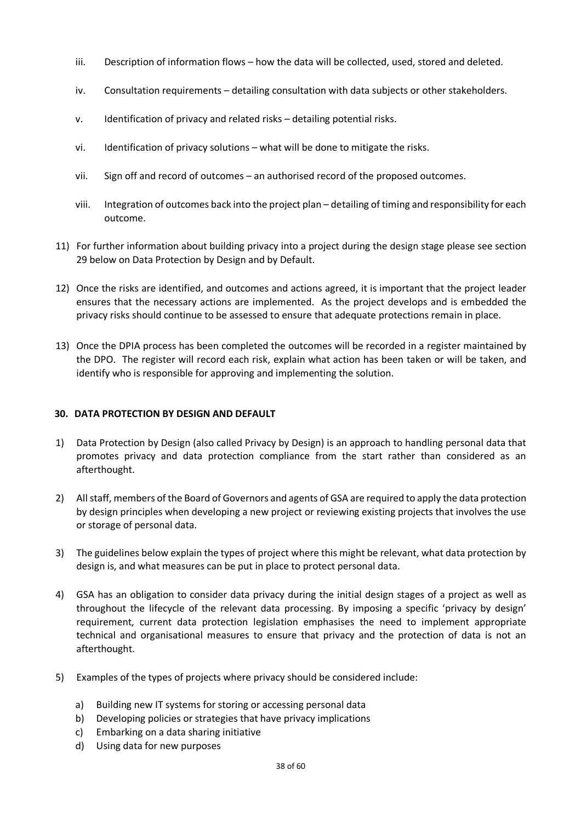- iii. Description of information flows how the data will be collected, used, stored and deleted.
- iv. Consultation requirements detailing consultation with data subjects or other stakeholders.
- v. Identification of privacy and related risks detailing potential risks.
- vi. Identification of privacy solutions what will be done to mitigate the risks.
- vii. Sign off and record of outcomes an authorised record of the proposed outcomes.
- viii. Integration of outcomes back into the project plan detailing of timing and responsibility for each outcome.
- 11) For further information about building privacy into a project during the design stage please see section 29 below on Data Protection by Design and by Default.
- 12) Once the risks are identified, and outcomes and actions agreed, it is important that the project leader ensures that the necessary actions are implemented. As the project develops and is embedded the privacy risks should continue to be assessed to ensure that adequate protections remain in place.
- 13) Once the DPIA process has been completed the outcomes will be recorded in a register maintained by the DPO. The register will record each risk, explain what action has been taken or will be taken, and identify who is responsible for approving and implementing the solution.

## **30. DATA PROTECTION BY DESIGN AND DEFAULT**

- 1) Data Protection by Design (also called Privacy by Design) is an approach to handling personal data that promotes privacy and data protection compliance from the start rather than considered as an afterthought.
- 2) All staff, members of the Board of Governors and agents of GSA are required to apply the data protection by design principles when developing a new project or reviewing existing projects that involves the use or storage of personal data.
- 3) The guidelines below explain the types of project where this might be relevant, what data protection by design is, and what measures can be put in place to protect personal data.
- 4) GSA has an obligation to consider data privacy during the initial design stages of a project as well as throughout the lifecycle of the relevant data processing. By imposing a specific 'privacy by design' requirement, current data protection legislation emphasises the need to implement appropriate technical and organisational measures to ensure that privacy and the protection of data is not an afterthought.
- 5) Examples of the types of projects where privacy should be considered include:
	- a) Building new IT systems for storing or accessing personal data
	- b) Developing policies or strategies that have privacy implications
	- c) Embarking on a data sharing initiative
	- d) Using data for new purposes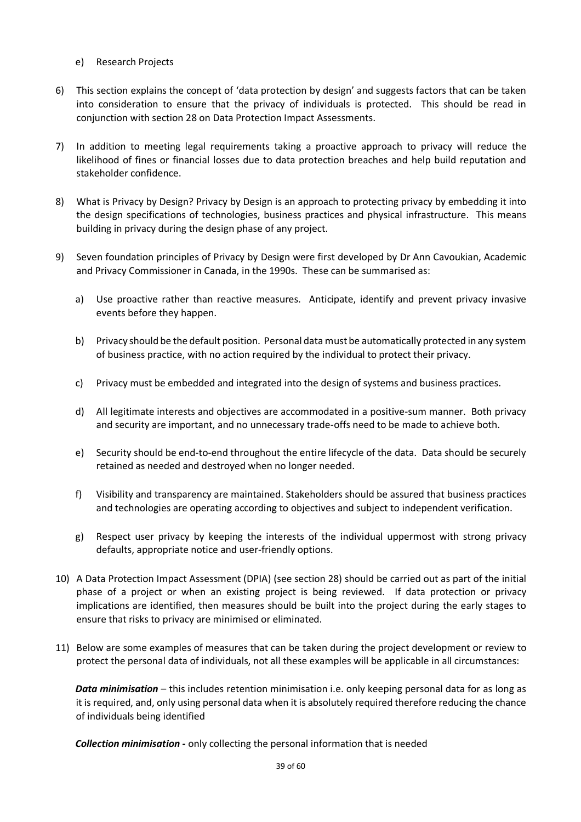- e) Research Projects
- 6) This section explains the concept of 'data protection by design' and suggests factors that can be taken into consideration to ensure that the privacy of individuals is protected. This should be read in conjunction with section 28 on Data Protection Impact Assessments.
- 7) In addition to meeting legal requirements taking a proactive approach to privacy will reduce the likelihood of fines or financial losses due to data protection breaches and help build reputation and stakeholder confidence.
- 8) What is Privacy by Design? Privacy by Design is an approach to protecting privacy by embedding it into the design specifications of technologies, business practices and physical infrastructure. This means building in privacy during the design phase of any project.
- 9) Seven foundation principles of Privacy by Design were first developed by Dr Ann Cavoukian, Academic and Privacy Commissioner in Canada, in the 1990s. These can be summarised as:
	- a) Use proactive rather than reactive measures. Anticipate, identify and prevent privacy invasive events before they happen.
	- b) Privacy should be the default position. Personal data must be automatically protected in any system of business practice, with no action required by the individual to protect their privacy.
	- c) Privacy must be embedded and integrated into the design of systems and business practices.
	- d) All legitimate interests and objectives are accommodated in a positive-sum manner. Both privacy and security are important, and no unnecessary trade-offs need to be made to achieve both.
	- e) Security should be end-to-end throughout the entire lifecycle of the data. Data should be securely retained as needed and destroyed when no longer needed.
	- f) Visibility and transparency are maintained. Stakeholders should be assured that business practices and technologies are operating according to objectives and subject to independent verification.
	- g) Respect user privacy by keeping the interests of the individual uppermost with strong privacy defaults, appropriate notice and user-friendly options.
- 10) A Data Protection Impact Assessment (DPIA) (see section 28) should be carried out as part of the initial phase of a project or when an existing project is being reviewed. If data protection or privacy implications are identified, then measures should be built into the project during the early stages to ensure that risks to privacy are minimised or eliminated.
- 11) Below are some examples of measures that can be taken during the project development or review to protect the personal data of individuals, not all these examples will be applicable in all circumstances:

*Data minimisation* – this includes retention minimisation i.e. only keeping personal data for as long as it is required, and, only using personal data when it is absolutely required therefore reducing the chance of individuals being identified

*Collection minimisation -* only collecting the personal information that is needed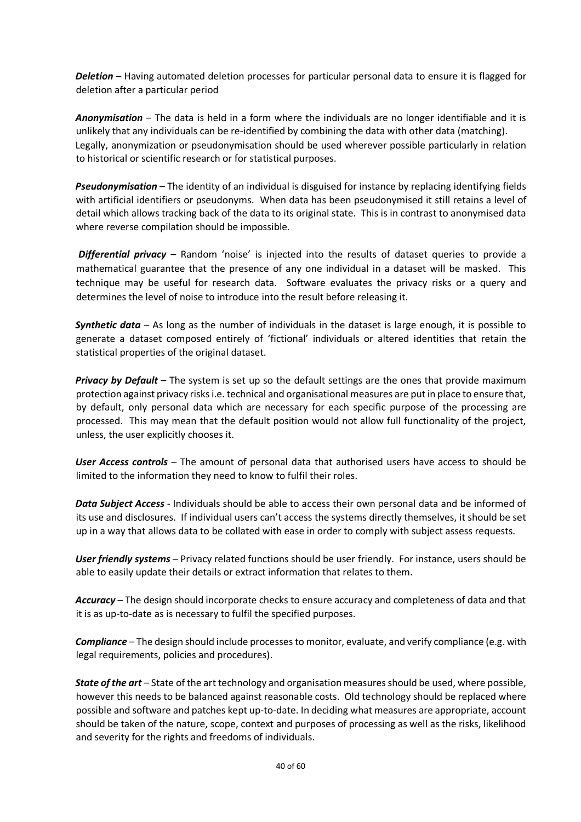*Deletion* – Having automated deletion processes for particular personal data to ensure it is flagged for deletion after a particular period

*Anonymisation* – The data is held in a form where the individuals are no longer identifiable and it is unlikely that any individuals can be re-identified by combining the data with other data (matching). Legally, anonymization or pseudonymisation should be used wherever possible particularly in relation to historical or scientific research or for statistical purposes.

*Pseudonymisation* – The identity of an individual is disguised for instance by replacing identifying fields with artificial identifiers or pseudonyms. When data has been pseudonymised it still retains a level of detail which allows tracking back of the data to its original state. This is in contrast to anonymised data where reverse compilation should be impossible.

*Differential privacy* – Random 'noise' is injected into the results of dataset queries to provide a mathematical guarantee that the presence of any one individual in a dataset will be masked. This technique may be useful for research data. Software evaluates the privacy risks or a query and determines the level of noise to introduce into the result before releasing it.

*Synthetic data* – As long as the number of individuals in the dataset is large enough, it is possible to generate a dataset composed entirely of 'fictional' individuals or altered identities that retain the statistical properties of the original dataset.

*Privacy by Default* – The system is set up so the default settings are the ones that provide maximum protection against privacy risks i.e. technical and organisational measures are put in place to ensure that, by default, only personal data which are necessary for each specific purpose of the processing are processed. This may mean that the default position would not allow full functionality of the project, unless, the user explicitly chooses it.

*User Access controls* – The amount of personal data that authorised users have access to should be limited to the information they need to know to fulfil their roles.

*Data Subject Access* - Individuals should be able to access their own personal data and be informed of its use and disclosures. If individual users can't access the systems directly themselves, it should be set up in a way that allows data to be collated with ease in order to comply with subject assess requests.

*User friendly systems* – Privacy related functions should be user friendly. For instance, users should be able to easily update their details or extract information that relates to them.

*Accuracy* – The design should incorporate checks to ensure accuracy and completeness of data and that it is as up-to-date as is necessary to fulfil the specified purposes.

*Compliance* – The design should include processes to monitor, evaluate, and verify compliance (e.g. with legal requirements, policies and procedures).

*State of the art* – State of the art technology and organisation measures should be used, where possible, however this needs to be balanced against reasonable costs. Old technology should be replaced where possible and software and patches kept up-to-date. In deciding what measures are appropriate, account should be taken of the nature, scope, context and purposes of processing as well as the risks, likelihood and severity for the rights and freedoms of individuals.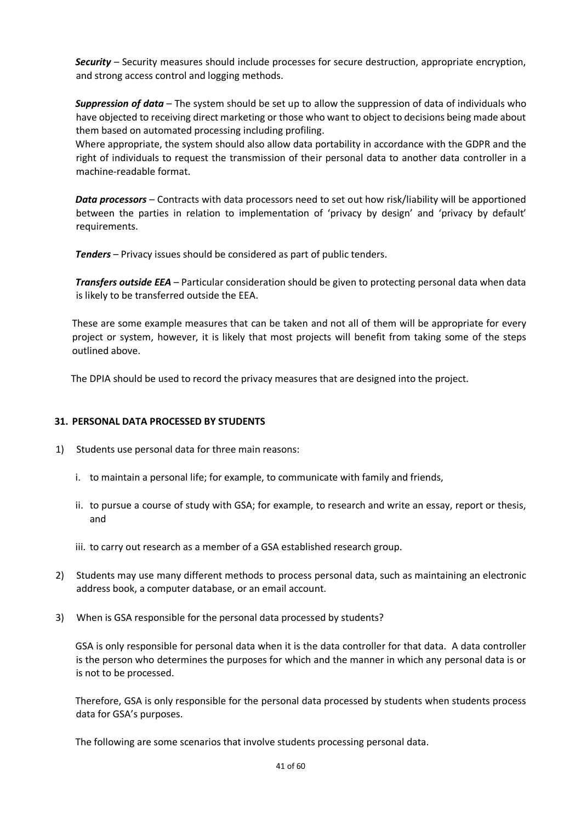*Security* – Security measures should include processes for secure destruction, appropriate encryption, and strong access control and logging methods.

*Suppression of data* – The system should be set up to allow the suppression of data of individuals who have objected to receiving direct marketing or those who want to object to decisions being made about them based on automated processing including profiling.

Where appropriate, the system should also allow data portability in accordance with the GDPR and the right of individuals to request the transmission of their personal data to another data controller in a machine-readable format.

*Data processors* – Contracts with data processors need to set out how risk/liability will be apportioned between the parties in relation to implementation of 'privacy by design' and 'privacy by default' requirements.

*Tenders* – Privacy issues should be considered as part of public tenders.

*Transfers outside EEA* – Particular consideration should be given to protecting personal data when data is likely to be transferred outside the EEA.

These are some example measures that can be taken and not all of them will be appropriate for every project or system, however, it is likely that most projects will benefit from taking some of the steps outlined above.

The DPIA should be used to record the privacy measures that are designed into the project.

## **31. PERSONAL DATA PROCESSED BY STUDENTS**

- 1) Students use personal data for three main reasons:
	- i. to maintain a personal life; for example, to communicate with family and friends,
	- ii. to pursue a course of study with GSA; for example, to research and write an essay, report or thesis, and
	- iii. to carry out research as a member of a GSA established research group.
- 2) Students may use many different methods to process personal data, such as maintaining an electronic address book, a computer database, or an email account.
- 3) When is GSA responsible for the personal data processed by students?

GSA is only responsible for personal data when it is the data controller for that data. A data controller is the person who determines the purposes for which and the manner in which any personal data is or is not to be processed.

Therefore, GSA is only responsible for the personal data processed by students when students process data for GSA's purposes.

The following are some scenarios that involve students processing personal data.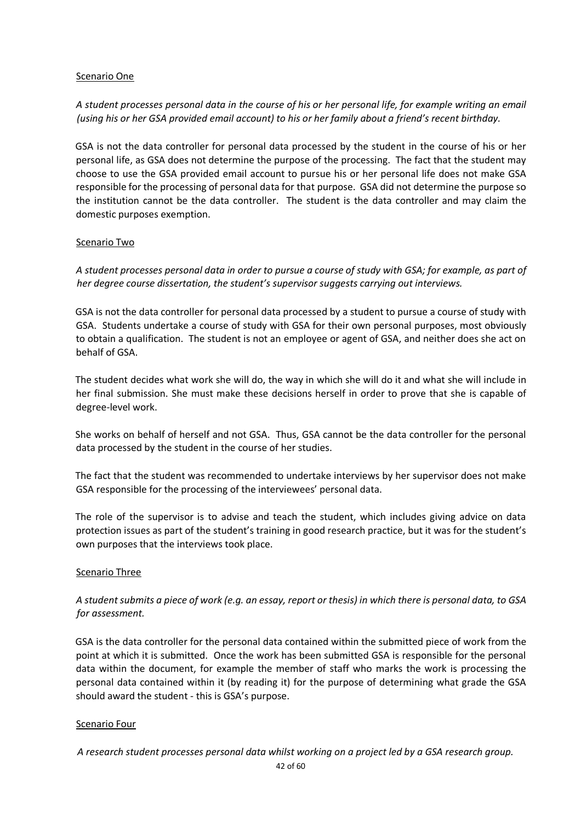## Scenario One

## *A student processes personal data in the course of his or her personal life, for example writing an email (using his or her GSA provided email account) to his or her family about a friend's recent birthday.*

GSA is not the data controller for personal data processed by the student in the course of his or her personal life, as GSA does not determine the purpose of the processing. The fact that the student may choose to use the GSA provided email account to pursue his or her personal life does not make GSA responsible for the processing of personal data for that purpose. GSA did not determine the purpose so the institution cannot be the data controller. The student is the data controller and may claim the domestic purposes exemption.

## Scenario Two

*A student processes personal data in order to pursue a course of study with GSA; for example, as part of her degree course dissertation, the student's supervisor suggests carrying out interviews.* 

GSA is not the data controller for personal data processed by a student to pursue a course of study with GSA. Students undertake a course of study with GSA for their own personal purposes, most obviously to obtain a qualification. The student is not an employee or agent of GSA, and neither does she act on behalf of GSA.

The student decides what work she will do, the way in which she will do it and what she will include in her final submission. She must make these decisions herself in order to prove that she is capable of degree-level work.

She works on behalf of herself and not GSA. Thus, GSA cannot be the data controller for the personal data processed by the student in the course of her studies.

The fact that the student was recommended to undertake interviews by her supervisor does not make GSA responsible for the processing of the interviewees' personal data.

The role of the supervisor is to advise and teach the student, which includes giving advice on data protection issues as part of the student's training in good research practice, but it was for the student's own purposes that the interviews took place.

## Scenario Three

## *A student submits a piece of work (e.g. an essay, report or thesis) in which there is personal data, to GSA for assessment.*

GSA is the data controller for the personal data contained within the submitted piece of work from the point at which it is submitted. Once the work has been submitted GSA is responsible for the personal data within the document, for example the member of staff who marks the work is processing the personal data contained within it (by reading it) for the purpose of determining what grade the GSA should award the student - this is GSA's purpose.

## Scenario Four

*A research student processes personal data whilst working on a project led by a GSA research group.*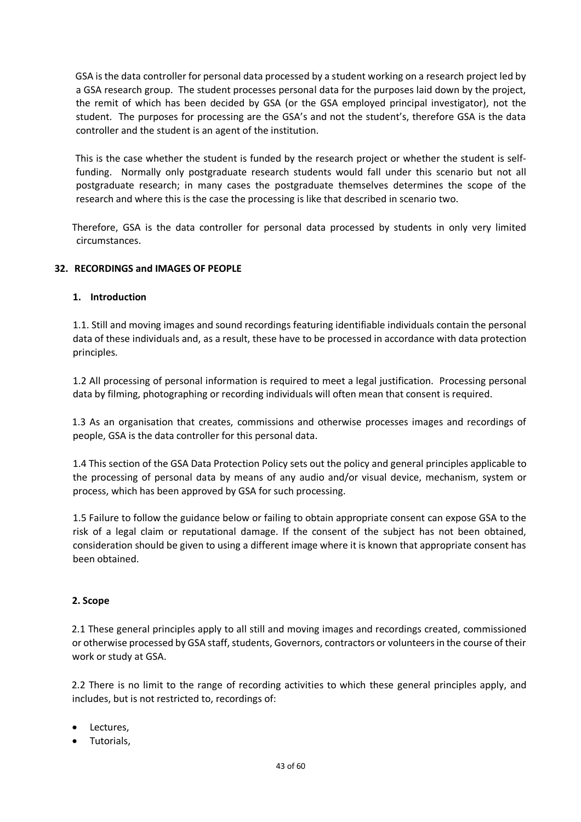GSA is the data controller for personal data processed by a student working on a research project led by a GSA research group. The student processes personal data for the purposes laid down by the project, the remit of which has been decided by GSA (or the GSA employed principal investigator), not the student. The purposes for processing are the GSA's and not the student's, therefore GSA is the data controller and the student is an agent of the institution.

This is the case whether the student is funded by the research project or whether the student is selffunding. Normally only postgraduate research students would fall under this scenario but not all postgraduate research; in many cases the postgraduate themselves determines the scope of the research and where this is the case the processing is like that described in scenario two.

Therefore, GSA is the data controller for personal data processed by students in only very limited circumstances.

## **32. RECORDINGS and IMAGES OF PEOPLE**

## **1. Introduction**

1.1. Still and moving images and sound recordings featuring identifiable individuals contain the personal data of these individuals and, as a result, these have to be processed in accordance with data protection principles.

1.2 All processing of personal information is required to meet a legal justification. Processing personal data by filming, photographing or recording individuals will often mean that consent is required.

1.3 As an organisation that creates, commissions and otherwise processes images and recordings of people, GSA is the data controller for this personal data.

1.4 This section of the GSA Data Protection Policy sets out the policy and general principles applicable to the processing of personal data by means of any audio and/or visual device, mechanism, system or process, which has been approved by GSA for such processing.

1.5 Failure to follow the guidance below or failing to obtain appropriate consent can expose GSA to the risk of a legal claim or reputational damage. If the consent of the subject has not been obtained, consideration should be given to using a different image where it is known that appropriate consent has been obtained.

## **2. Scope**

2.1 These general principles apply to all still and moving images and recordings created, commissioned or otherwise processed by GSA staff, students, Governors, contractors or volunteers in the course of their work or study at GSA.

2.2 There is no limit to the range of recording activities to which these general principles apply, and includes, but is not restricted to, recordings of:

- Lectures,
- Tutorials,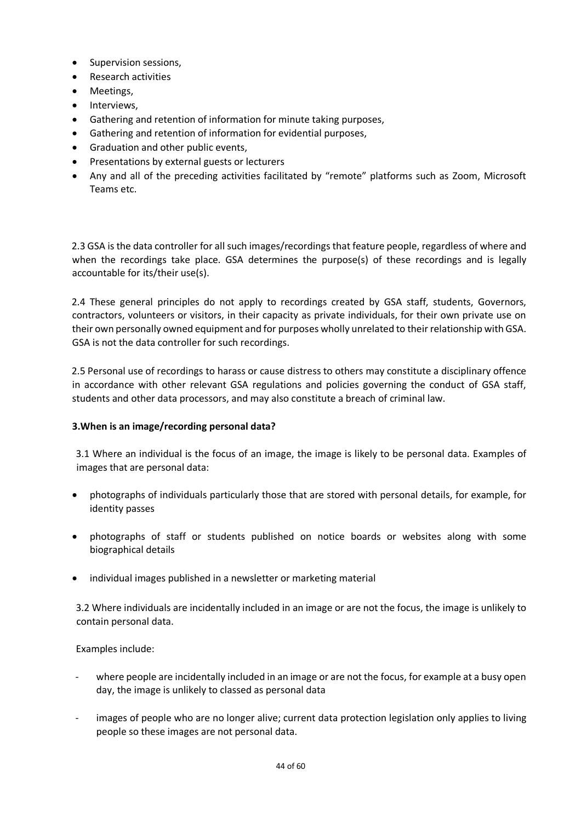- Supervision sessions,
- Research activities
- Meetings,
- Interviews,
- Gathering and retention of information for minute taking purposes,
- Gathering and retention of information for evidential purposes,
- Graduation and other public events,
- Presentations by external guests or lecturers
- Any and all of the preceding activities facilitated by "remote" platforms such as Zoom, Microsoft Teams etc.

2.3 GSA is the data controller for all such images/recordings that feature people, regardless of where and when the recordings take place. GSA determines the purpose(s) of these recordings and is legally accountable for its/their use(s).

2.4 These general principles do not apply to recordings created by GSA staff, students, Governors, contractors, volunteers or visitors, in their capacity as private individuals, for their own private use on their own personally owned equipment and for purposes wholly unrelated to their relationship with GSA. GSA is not the data controller for such recordings.

2.5 Personal use of recordings to harass or cause distress to others may constitute a disciplinary offence in accordance with other relevant GSA regulations and policies governing the conduct of GSA staff, students and other data processors, and may also constitute a breach of criminal law.

## **3.When is an image/recording personal data?**

3.1 Where an individual is the focus of an image, the image is likely to be personal data. Examples of images that are personal data:

- photographs of individuals particularly those that are stored with personal details, for example, for identity passes
- photographs of staff or students published on notice boards or websites along with some biographical details
- individual images published in a newsletter or marketing material

3.2 Where individuals are incidentally included in an image or are not the focus, the image is unlikely to contain personal data.

Examples include:

- where people are incidentally included in an image or are not the focus, for example at a busy open day, the image is unlikely to classed as personal data
- images of people who are no longer alive; current data protection legislation only applies to living people so these images are not personal data.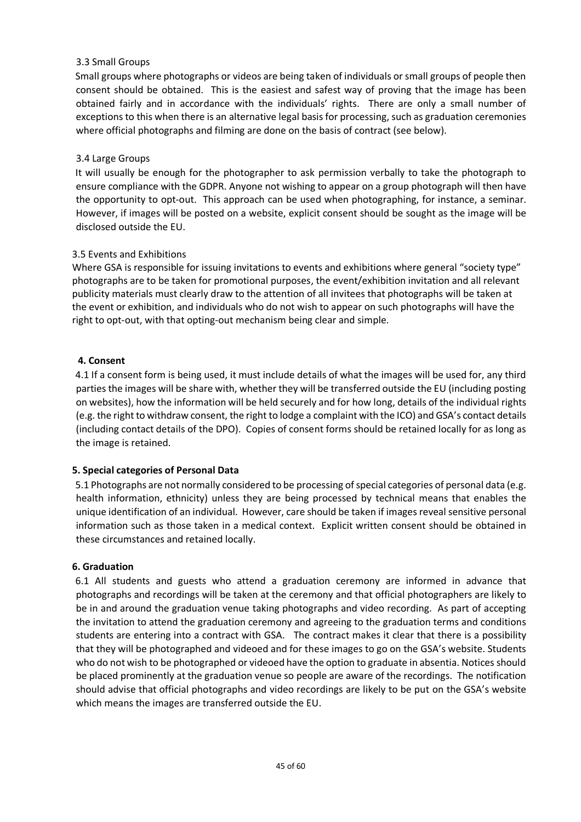## 3.3 Small Groups

Small groups where photographs or videos are being taken of individuals or small groups of people then consent should be obtained. This is the easiest and safest way of proving that the image has been obtained fairly and in accordance with the individuals' rights. There are only a small number of exceptions to this when there is an alternative legal basis for processing, such as graduation ceremonies where official photographs and filming are done on the basis of contract (see below).

## 3.4 Large Groups

It will usually be enough for the photographer to ask permission verbally to take the photograph to ensure compliance with the GDPR. Anyone not wishing to appear on a group photograph will then have the opportunity to opt-out. This approach can be used when photographing, for instance, a seminar. However, if images will be posted on a website, explicit consent should be sought as the image will be disclosed outside the EU.

## 3.5 Events and Exhibitions

Where GSA is responsible for issuing invitations to events and exhibitions where general "society type" photographs are to be taken for promotional purposes, the event/exhibition invitation and all relevant publicity materials must clearly draw to the attention of all invitees that photographs will be taken at the event or exhibition, and individuals who do not wish to appear on such photographs will have the right to opt-out, with that opting-out mechanism being clear and simple.

## **4. Consent**

4.1 If a consent form is being used, it must include details of what the images will be used for, any third parties the images will be share with, whether they will be transferred outside the EU (including posting on websites), how the information will be held securely and for how long, details of the individual rights (e.g. the right to withdraw consent, the right to lodge a complaint with the ICO) and GSA's contact details (including contact details of the DPO). Copies of consent forms should be retained locally for as long as the image is retained.

## **5. Special categories of Personal Data**

5.1 Photographs are not normally considered to be processing of special categories of personal data (e.g. health information, ethnicity) unless they are being processed by technical means that enables the unique identification of an individual. However, care should be taken if images reveal sensitive personal information such as those taken in a medical context. Explicit written consent should be obtained in these circumstances and retained locally.

## **6. Graduation**

6.1 All students and guests who attend a graduation ceremony are informed in advance that photographs and recordings will be taken at the ceremony and that official photographers are likely to be in and around the graduation venue taking photographs and video recording. As part of accepting the invitation to attend the graduation ceremony and agreeing to the graduation terms and conditions students are entering into a contract with GSA. The contract makes it clear that there is a possibility that they will be photographed and videoed and for these images to go on the GSA's website. Students who do not wish to be photographed or videoed have the option to graduate in absentia. Notices should be placed prominently at the graduation venue so people are aware of the recordings. The notification should advise that official photographs and video recordings are likely to be put on the GSA's website which means the images are transferred outside the EU.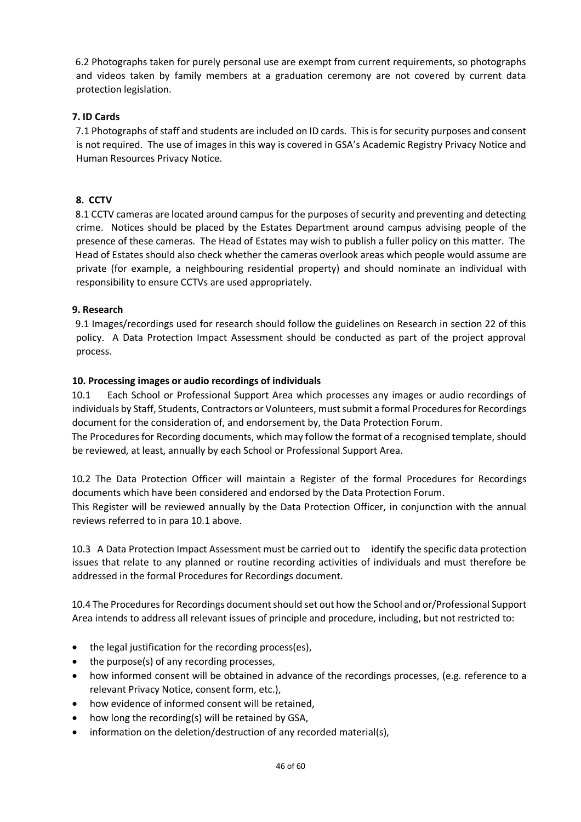6.2 Photographs taken for purely personal use are exempt from current requirements, so photographs and videos taken by family members at a graduation ceremony are not covered by current data protection legislation.

## **7. ID Cards**

7.1 Photographs of staff and students are included on ID cards. This is for security purposes and consent is not required. The use of images in this way is covered in GSA's Academic Registry Privacy Notice and Human Resources Privacy Notice.

## **8. CCTV**

8.1 CCTV cameras are located around campus for the purposes of security and preventing and detecting crime. Notices should be placed by the Estates Department around campus advising people of the presence of these cameras. The Head of Estates may wish to publish a fuller policy on this matter. The Head of Estates should also check whether the cameras overlook areas which people would assume are private (for example, a neighbouring residential property) and should nominate an individual with responsibility to ensure CCTVs are used appropriately.

## **9. Research**

9.1 Images/recordings used for research should follow the guidelines on Research in section 22 of this policy. A Data Protection Impact Assessment should be conducted as part of the project approval process.

## **10. Processing images or audio recordings of individuals**

10.1 Each School or Professional Support Area which processes any images or audio recordings of individuals by Staff, Students, Contractors or Volunteers, must submit a formal Procedures for Recordings document for the consideration of, and endorsement by, the Data Protection Forum.

The Procedures for Recording documents, which may follow the format of a recognised template, should be reviewed, at least, annually by each School or Professional Support Area.

10.2 The Data Protection Officer will maintain a Register of the formal Procedures for Recordings documents which have been considered and endorsed by the Data Protection Forum.

This Register will be reviewed annually by the Data Protection Officer, in conjunction with the annual reviews referred to in para 10.1 above.

10.3 A Data Protection Impact Assessment must be carried out to identify the specific data protection issues that relate to any planned or routine recording activities of individuals and must therefore be addressed in the formal Procedures for Recordings document.

10.4 The Procedures for Recordings document should set out how the School and or/Professional Support Area intends to address all relevant issues of principle and procedure, including, but not restricted to:

- the legal justification for the recording process(es),
- the purpose(s) of any recording processes,
- how informed consent will be obtained in advance of the recordings processes, (e.g. reference to a relevant Privacy Notice, consent form, etc.),
- how evidence of informed consent will be retained,
- how long the recording(s) will be retained by GSA,
- information on the deletion/destruction of any recorded material(s),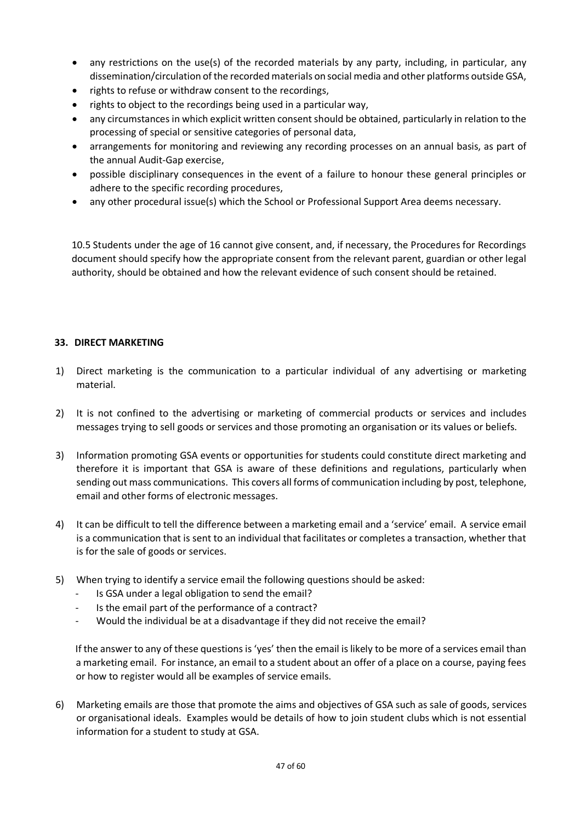- any restrictions on the use(s) of the recorded materials by any party, including, in particular, any dissemination/circulation of the recorded materials on social media and other platforms outside GSA,
- rights to refuse or withdraw consent to the recordings,
- rights to object to the recordings being used in a particular way,
- any circumstances in which explicit written consent should be obtained, particularly in relation to the processing of special or sensitive categories of personal data,
- arrangements for monitoring and reviewing any recording processes on an annual basis, as part of the annual Audit-Gap exercise,
- possible disciplinary consequences in the event of a failure to honour these general principles or adhere to the specific recording procedures,
- any other procedural issue(s) which the School or Professional Support Area deems necessary.

10.5 Students under the age of 16 cannot give consent, and, if necessary, the Procedures for Recordings document should specify how the appropriate consent from the relevant parent, guardian or other legal authority, should be obtained and how the relevant evidence of such consent should be retained.

## **33. DIRECT MARKETING**

- 1) Direct marketing is the communication to a particular individual of any advertising or marketing material.
- 2) It is not confined to the advertising or marketing of commercial products or services and includes messages trying to sell goods or services and those promoting an organisation or its values or beliefs.
- 3) Information promoting GSA events or opportunities for students could constitute direct marketing and therefore it is important that GSA is aware of these definitions and regulations, particularly when sending out mass communications. This covers all forms of communication including by post, telephone, email and other forms of electronic messages.
- 4) It can be difficult to tell the difference between a marketing email and a 'service' email. A service email is a communication that is sent to an individual that facilitates or completes a transaction, whether that is for the sale of goods or services.
- 5) When trying to identify a service email the following questions should be asked:
	- Is GSA under a legal obligation to send the email?
	- Is the email part of the performance of a contract?
	- Would the individual be at a disadvantage if they did not receive the email?

If the answer to any of these questions is 'yes' then the email is likely to be more of a services email than a marketing email. For instance, an email to a student about an offer of a place on a course, paying fees or how to register would all be examples of service emails.

6) Marketing emails are those that promote the aims and objectives of GSA such as sale of goods, services or organisational ideals. Examples would be details of how to join student clubs which is not essential information for a student to study at GSA.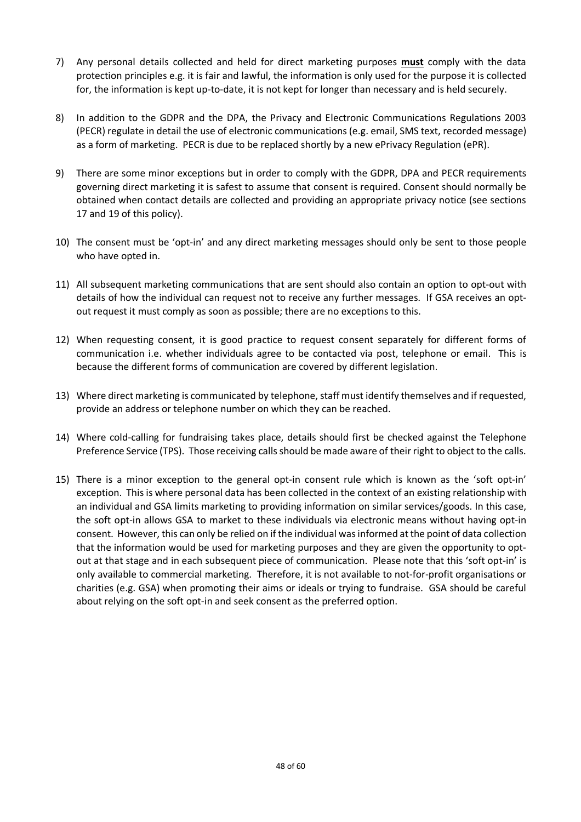- 7) Any personal details collected and held for direct marketing purposes **must** comply with the data protection principles e.g. it is fair and lawful, the information is only used for the purpose it is collected for, the information is kept up-to-date, it is not kept for longer than necessary and is held securely.
- 8) In addition to the GDPR and the DPA, the Privacy and Electronic Communications Regulations 2003 (PECR) regulate in detail the use of electronic communications (e.g. email, SMS text, recorded message) as a form of marketing. PECR is due to be replaced shortly by a new ePrivacy Regulation (ePR).
- 9) There are some minor exceptions but in order to comply with the GDPR, DPA and PECR requirements governing direct marketing it is safest to assume that consent is required. Consent should normally be obtained when contact details are collected and providing an appropriate privacy notice (see sections 17 and 19 of this policy).
- 10) The consent must be 'opt-in' and any direct marketing messages should only be sent to those people who have opted in.
- 11) All subsequent marketing communications that are sent should also contain an option to opt-out with details of how the individual can request not to receive any further messages. If GSA receives an optout request it must comply as soon as possible; there are no exceptions to this.
- 12) When requesting consent, it is good practice to request consent separately for different forms of communication i.e. whether individuals agree to be contacted via post, telephone or email. This is because the different forms of communication are covered by different legislation.
- 13) Where direct marketing is communicated by telephone, staff must identify themselves and if requested, provide an address or telephone number on which they can be reached.
- 14) Where cold-calling for fundraising takes place, details should first be checked against the Telephone Preference Service (TPS). Those receiving calls should be made aware of their right to object to the calls.
- 15) There is a minor exception to the general opt-in consent rule which is known as the 'soft opt-in' exception. This is where personal data has been collected in the context of an existing relationship with an individual and GSA limits marketing to providing information on similar services/goods. In this case, the soft opt-in allows GSA to market to these individuals via electronic means without having opt-in consent. However, this can only be relied on if the individual was informed at the point of data collection that the information would be used for marketing purposes and they are given the opportunity to optout at that stage and in each subsequent piece of communication. Please note that this 'soft opt-in' is only available to commercial marketing. Therefore, it is not available to not-for-profit organisations or charities (e.g. GSA) when promoting their aims or ideals or trying to fundraise. GSA should be careful about relying on the soft opt-in and seek consent as the preferred option.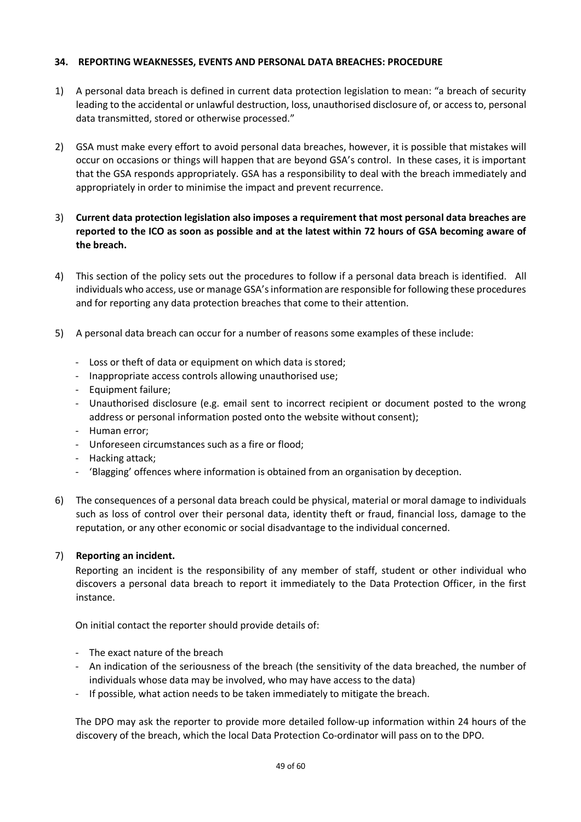## **34. REPORTING WEAKNESSES, EVENTS AND PERSONAL DATA BREACHES: PROCEDURE**

- 1) A personal data breach is defined in current data protection legislation to mean: "a breach of security leading to the accidental or unlawful destruction, loss, unauthorised disclosure of, or access to, personal data transmitted, stored or otherwise processed."
- 2) GSA must make every effort to avoid personal data breaches, however, it is possible that mistakes will occur on occasions or things will happen that are beyond GSA's control. In these cases, it is important that the GSA responds appropriately. GSA has a responsibility to deal with the breach immediately and appropriately in order to minimise the impact and prevent recurrence.
- 3) **Current data protection legislation also imposes a requirement that most personal data breaches are reported to the ICO as soon as possible and at the latest within 72 hours of GSA becoming aware of the breach.**
- 4) This section of the policy sets out the procedures to follow if a personal data breach is identified. All individuals who access, use or manage GSA's information are responsible for following these procedures and for reporting any data protection breaches that come to their attention.
- 5) A personal data breach can occur for a number of reasons some examples of these include:
	- Loss or theft of data or equipment on which data is stored;
	- Inappropriate access controls allowing unauthorised use;
	- Equipment failure;
	- Unauthorised disclosure (e.g. email sent to incorrect recipient or document posted to the wrong address or personal information posted onto the website without consent);
	- Human error;
	- Unforeseen circumstances such as a fire or flood;
	- Hacking attack;
	- 'Blagging' offences where information is obtained from an organisation by deception.
- 6) The consequences of a personal data breach could be physical, material or moral damage to individuals such as loss of control over their personal data, identity theft or fraud, financial loss, damage to the reputation, or any other economic or social disadvantage to the individual concerned.

## 7) **Reporting an incident.**

Reporting an incident is the responsibility of any member of staff, student or other individual who discovers a personal data breach to report it immediately to the Data Protection Officer, in the first instance.

On initial contact the reporter should provide details of:

- The exact nature of the breach
- An indication of the seriousness of the breach (the sensitivity of the data breached, the number of individuals whose data may be involved, who may have access to the data)
- If possible, what action needs to be taken immediately to mitigate the breach.

The DPO may ask the reporter to provide more detailed follow-up information within 24 hours of the discovery of the breach, which the local Data Protection Co-ordinator will pass on to the DPO.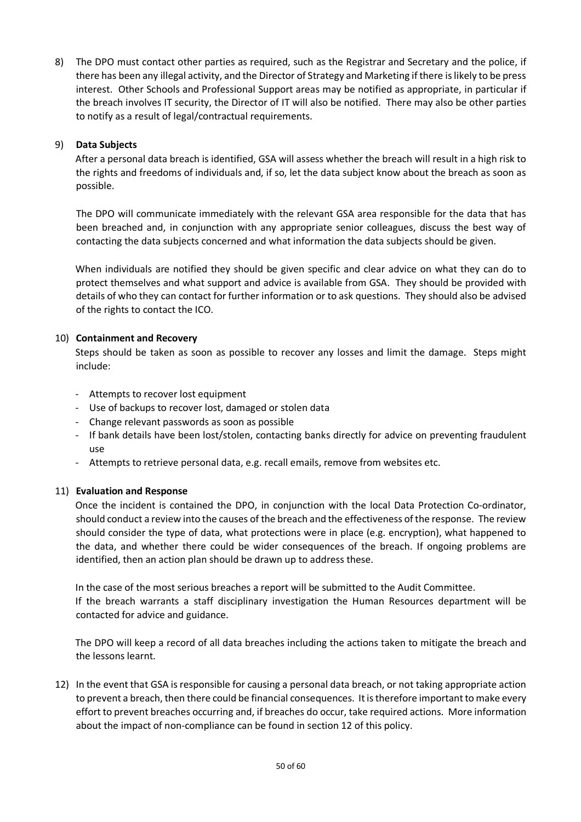8) The DPO must contact other parties as required, such as the Registrar and Secretary and the police, if there has been any illegal activity, and the Director of Strategy and Marketing if there is likely to be press interest. Other Schools and Professional Support areas may be notified as appropriate, in particular if the breach involves IT security, the Director of IT will also be notified. There may also be other parties to notify as a result of legal/contractual requirements.

## 9) **Data Subjects**

After a personal data breach is identified, GSA will assess whether the breach will result in a high risk to the rights and freedoms of individuals and, if so, let the data subject know about the breach as soon as possible.

The DPO will communicate immediately with the relevant GSA area responsible for the data that has been breached and, in conjunction with any appropriate senior colleagues, discuss the best way of contacting the data subjects concerned and what information the data subjects should be given.

When individuals are notified they should be given specific and clear advice on what they can do to protect themselves and what support and advice is available from GSA. They should be provided with details of who they can contact for further information or to ask questions. They should also be advised of the rights to contact the ICO.

## 10) **Containment and Recovery**

Steps should be taken as soon as possible to recover any losses and limit the damage. Steps might include:

- Attempts to recover lost equipment
- Use of backups to recover lost, damaged or stolen data
- Change relevant passwords as soon as possible
- If bank details have been lost/stolen, contacting banks directly for advice on preventing fraudulent use
- Attempts to retrieve personal data, e.g. recall emails, remove from websites etc.

## 11) **Evaluation and Response**

Once the incident is contained the DPO, in conjunction with the local Data Protection Co-ordinator, should conduct a review into the causes of the breach and the effectiveness of the response. The review should consider the type of data, what protections were in place (e.g. encryption), what happened to the data, and whether there could be wider consequences of the breach. If ongoing problems are identified, then an action plan should be drawn up to address these.

In the case of the most serious breaches a report will be submitted to the Audit Committee. If the breach warrants a staff disciplinary investigation the Human Resources department will be contacted for advice and guidance.

The DPO will keep a record of all data breaches including the actions taken to mitigate the breach and the lessons learnt.

12) In the event that GSA is responsible for causing a personal data breach, or not taking appropriate action to prevent a breach, then there could be financial consequences. It is therefore important to make every effort to prevent breaches occurring and, if breaches do occur, take required actions. More information about the impact of non-compliance can be found in section 12 of this policy.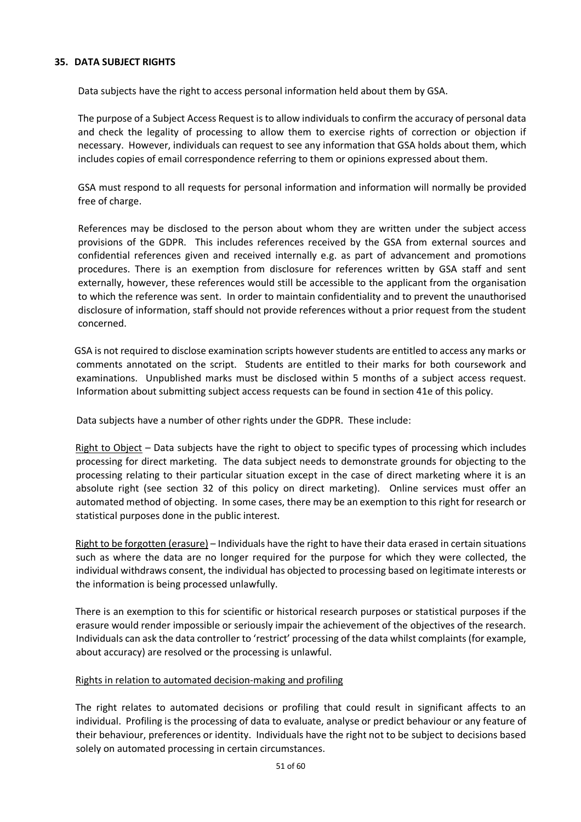## **35. DATA SUBJECT RIGHTS**

Data subjects have the right to access personal information held about them by GSA.

The purpose of a Subject Access Request is to allow individuals to confirm the accuracy of personal data and check the legality of processing to allow them to exercise rights of correction or objection if necessary. However, individuals can request to see any information that GSA holds about them, which includes copies of email correspondence referring to them or opinions expressed about them.

GSA must respond to all requests for personal information and information will normally be provided free of charge.

References may be disclosed to the person about whom they are written under the subject access provisions of the GDPR. This includes references received by the GSA from external sources and confidential references given and received internally e.g. as part of advancement and promotions procedures. There is an exemption from disclosure for references written by GSA staff and sent externally, however, these references would still be accessible to the applicant from the organisation to which the reference was sent. In order to maintain confidentiality and to prevent the unauthorised disclosure of information, staff should not provide references without a prior request from the student concerned.

GSA is not required to disclose examination scripts however students are entitled to access any marks or comments annotated on the script. Students are entitled to their marks for both coursework and examinations. Unpublished marks must be disclosed within 5 months of a subject access request. Information about submitting subject access requests can be found in section 41e of this policy.

Data subjects have a number of other rights under the GDPR. These include:

Right to Object – Data subjects have the right to object to specific types of processing which includes processing for direct marketing. The data subject needs to demonstrate grounds for objecting to the processing relating to their particular situation except in the case of direct marketing where it is an absolute right (see section 32 of this policy on direct marketing). Online services must offer an automated method of objecting. In some cases, there may be an exemption to this right for research or statistical purposes done in the public interest.

Right to be forgotten (erasure) – Individuals have the right to have their data erased in certain situations such as where the data are no longer required for the purpose for which they were collected, the individual withdraws consent, the individual has objected to processing based on legitimate interests or the information is being processed unlawfully.

There is an exemption to this for scientific or historical research purposes or statistical purposes if the erasure would render impossible or seriously impair the achievement of the objectives of the research. Individuals can ask the data controller to 'restrict' processing of the data whilst complaints (for example, about accuracy) are resolved or the processing is unlawful.

## Rights in relation to automated decision-making and profiling

The right relates to automated decisions or profiling that could result in significant affects to an individual. Profiling is the processing of data to evaluate, analyse or predict behaviour or any feature of their behaviour, preferences or identity. Individuals have the right not to be subject to decisions based solely on automated processing in certain circumstances.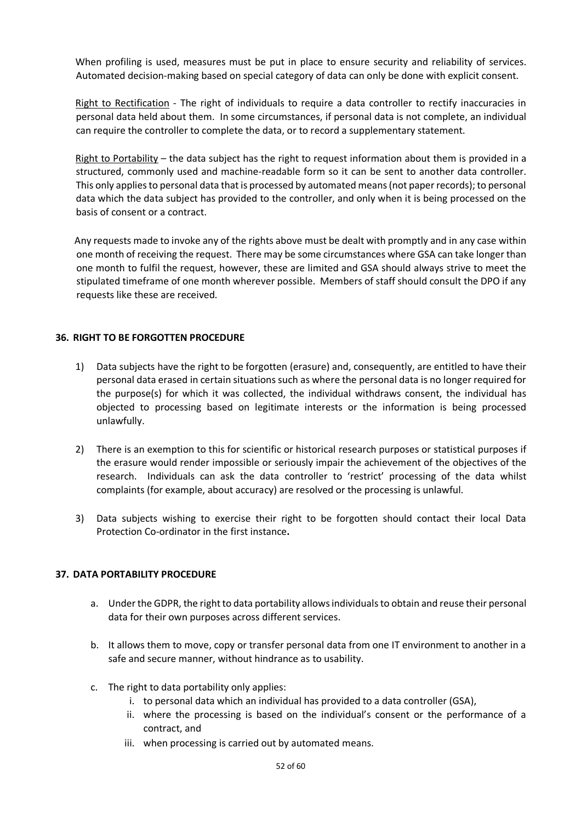When profiling is used, measures must be put in place to ensure security and reliability of services. Automated decision-making based on special category of data can only be done with explicit consent.

Right to Rectification - The right of individuals to require a data controller to rectify inaccuracies in personal data held about them. In some circumstances, if personal data is not complete, an individual can require the controller to complete the data, or to record a supplementary statement.

Right to Portability – the data subject has the right to request information about them is provided in a structured, commonly used and machine-readable form so it can be sent to another data controller. This only applies to personal data that is processed by automated means (not paper records); to personal data which the data subject has provided to the controller, and only when it is being processed on the basis of consent or a contract.

Any requests made to invoke any of the rights above must be dealt with promptly and in any case within one month of receiving the request. There may be some circumstances where GSA can take longer than one month to fulfil the request, however, these are limited and GSA should always strive to meet the stipulated timeframe of one month wherever possible. Members of staff should consult the DPO if any requests like these are received.

## **36. RIGHT TO BE FORGOTTEN PROCEDURE**

- 1) Data subjects have the right to be forgotten (erasure) and, consequently, are entitled to have their personal data erased in certain situations such as where the personal data is no longer required for the purpose(s) for which it was collected, the individual withdraws consent, the individual has objected to processing based on legitimate interests or the information is being processed unlawfully.
- 2) There is an exemption to this for scientific or historical research purposes or statistical purposes if the erasure would render impossible or seriously impair the achievement of the objectives of the research. Individuals can ask the data controller to 'restrict' processing of the data whilst complaints (for example, about accuracy) are resolved or the processing is unlawful.
- 3) Data subjects wishing to exercise their right to be forgotten should contact their local Data Protection Co-ordinator in the first instance**.**

## **37. DATA PORTABILITY PROCEDURE**

- a. Under the GDPR, the right to data portability allows individuals to obtain and reuse their personal data for their own purposes across different services.
- b. It allows them to move, copy or transfer personal data from one IT environment to another in a safe and secure manner, without hindrance as to usability.
- c. The right to data portability only applies:
	- i. to personal data which an individual has provided to a data controller (GSA),
	- ii. where the processing is based on the individual's consent or the performance of a contract, and
	- iii. when processing is carried out by automated means.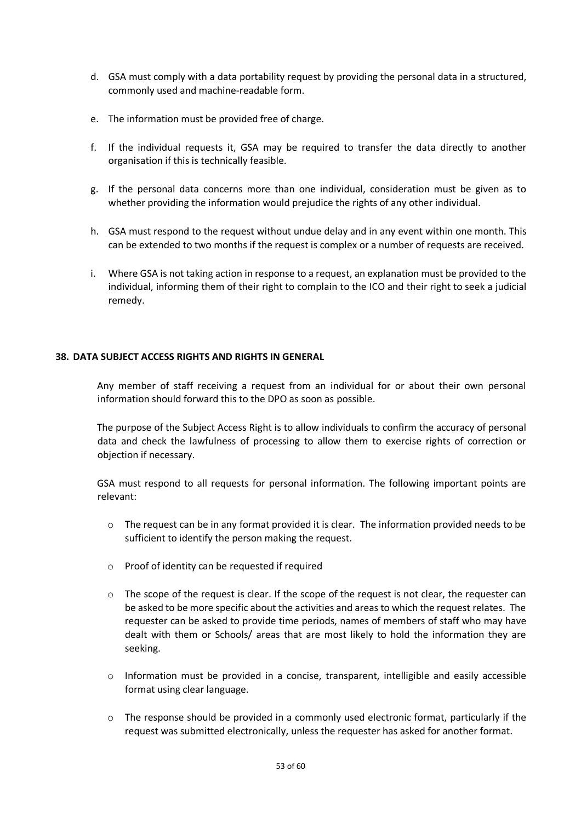- d. GSA must comply with a data portability request by providing the personal data in a structured, commonly used and machine-readable form.
- e. The information must be provided free of charge.
- f. If the individual requests it, GSA may be required to transfer the data directly to another organisation if this is technically feasible.
- g. If the personal data concerns more than one individual, consideration must be given as to whether providing the information would prejudice the rights of any other individual.
- h. GSA must respond to the request without undue delay and in any event within one month. This can be extended to two months if the request is complex or a number of requests are received.
- i. Where GSA is not taking action in response to a request, an explanation must be provided to the individual, informing them of their right to complain to the ICO and their right to seek a judicial remedy.

## **38. DATA SUBJECT ACCESS RIGHTS AND RIGHTS IN GENERAL**

Any member of staff receiving a request from an individual for or about their own personal information should forward this to the DPO as soon as possible.

The purpose of the Subject Access Right is to allow individuals to confirm the accuracy of personal data and check the lawfulness of processing to allow them to exercise rights of correction or objection if necessary.

GSA must respond to all requests for personal information. The following important points are relevant:

- $\circ$  The request can be in any format provided it is clear. The information provided needs to be sufficient to identify the person making the request.
- o Proof of identity can be requested if required
- $\circ$  The scope of the request is clear. If the scope of the request is not clear, the requester can be asked to be more specific about the activities and areas to which the request relates. The requester can be asked to provide time periods, names of members of staff who may have dealt with them or Schools/ areas that are most likely to hold the information they are seeking.
- $\circ$  Information must be provided in a concise, transparent, intelligible and easily accessible format using clear language.
- o The response should be provided in a commonly used electronic format, particularly if the request was submitted electronically, unless the requester has asked for another format.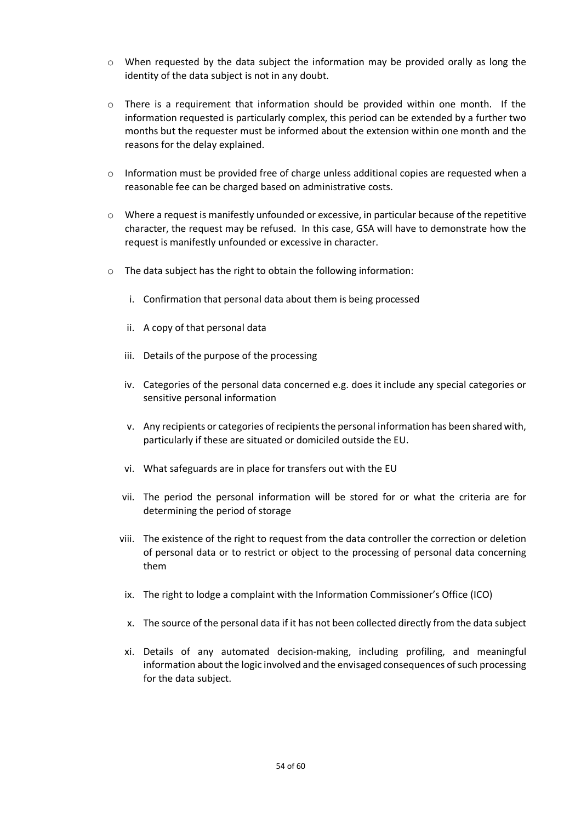- $\circ$  When requested by the data subject the information may be provided orally as long the identity of the data subject is not in any doubt.
- $\circ$  There is a requirement that information should be provided within one month. If the information requested is particularly complex, this period can be extended by a further two months but the requester must be informed about the extension within one month and the reasons for the delay explained.
- o Information must be provided free of charge unless additional copies are requested when a reasonable fee can be charged based on administrative costs.
- $\circ$  Where a request is manifestly unfounded or excessive, in particular because of the repetitive character, the request may be refused. In this case, GSA will have to demonstrate how the request is manifestly unfounded or excessive in character.
- o The data subject has the right to obtain the following information:
	- i. Confirmation that personal data about them is being processed
	- ii. A copy of that personal data
	- iii. Details of the purpose of the processing
	- iv. Categories of the personal data concerned e.g. does it include any special categories or sensitive personal information
	- v. Any recipients or categories of recipients the personal information has been shared with, particularly if these are situated or domiciled outside the EU.
	- vi. What safeguards are in place for transfers out with the EU
	- vii. The period the personal information will be stored for or what the criteria are for determining the period of storage
	- viii. The existence of the right to request from the data controller the correction or deletion of personal data or to restrict or object to the processing of personal data concerning them
	- ix. The right to lodge a complaint with the Information Commissioner's Office (ICO)
	- x. The source of the personal data if it has not been collected directly from the data subject
	- xi. Details of any automated decision-making, including profiling, and meaningful information about the logic involved and the envisaged consequences of such processing for the data subject.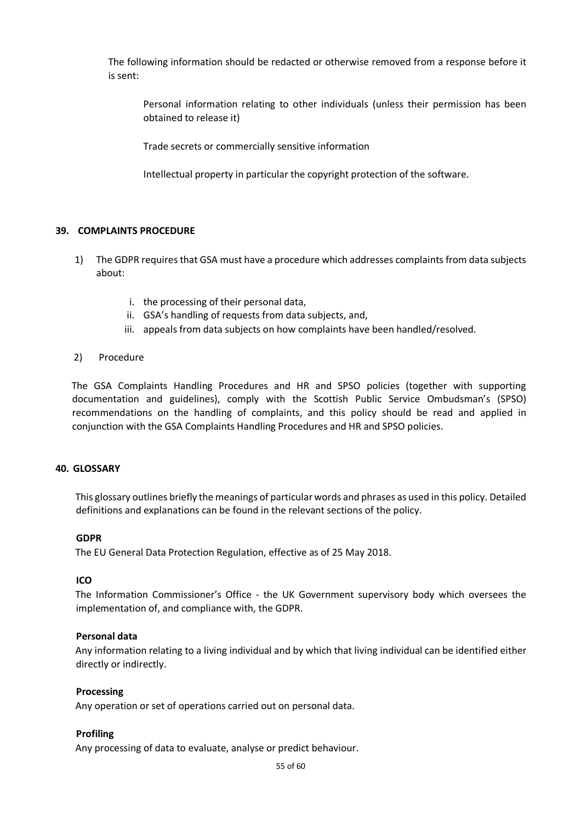The following information should be redacted or otherwise removed from a response before it is sent:

Personal information relating to other individuals (unless their permission has been obtained to release it)

Trade secrets or commercially sensitive information

Intellectual property in particular the copyright protection of the software.

#### **39. COMPLAINTS PROCEDURE**

- 1) The GDPR requires that GSA must have a procedure which addresses complaints from data subjects about:
	- i. the processing of their personal data,
	- ii. GSA's handling of requests from data subjects, and,
	- iii. appeals from data subjects on how complaints have been handled/resolved.
- 2) Procedure

The GSA Complaints Handling Procedures and HR and SPSO policies (together with supporting documentation and guidelines), comply with the Scottish Public Service Ombudsman's (SPSO) recommendations on the handling of complaints, and this policy should be read and applied in conjunction with the GSA Complaints Handling Procedures and HR and SPSO policies.

#### **40. GLOSSARY**

This glossary outlines briefly the meanings of particular words and phrases as used in this policy. Detailed definitions and explanations can be found in the relevant sections of the policy.

#### **GDPR**

The EU General Data Protection Regulation, effective as of 25 May 2018.

## **ICO**

The Information Commissioner's Office - the UK Government supervisory body which oversees the implementation of, and compliance with, the GDPR.

## **Personal data**

Any information relating to a living individual and by which that living individual can be identified either directly or indirectly.

#### **Processing**

Any operation or set of operations carried out on personal data.

## **Profiling**

Any processing of data to evaluate, analyse or predict behaviour.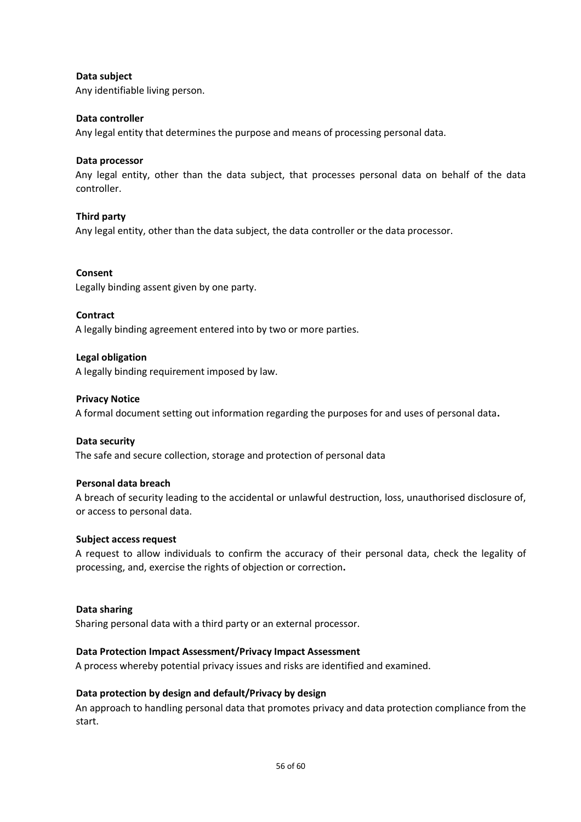## **Data subject**

Any identifiable living person.

## **Data controller**

Any legal entity that determines the purpose and means of processing personal data.

## **Data processor**

Any legal entity, other than the data subject, that processes personal data on behalf of the data controller.

## **Third party**

Any legal entity, other than the data subject, the data controller or the data processor.

## **Consent**

Legally binding assent given by one party.

## **Contract**

A legally binding agreement entered into by two or more parties.

## **Legal obligation**

A legally binding requirement imposed by law.

## **Privacy Notice**

A formal document setting out information regarding the purposes for and uses of personal data**.** 

## **Data security**

The safe and secure collection, storage and protection of personal data

## **Personal data breach**

A breach of security leading to the accidental or unlawful destruction, loss, unauthorised disclosure of, or access to personal data.

## **Subject access request**

A request to allow individuals to confirm the accuracy of their personal data, check the legality of processing, and, exercise the rights of objection or correction**.** 

## **Data sharing**

Sharing personal data with a third party or an external processor.

## **Data Protection Impact Assessment/Privacy Impact Assessment**

A process whereby potential privacy issues and risks are identified and examined.

## **Data protection by design and default/Privacy by design**

An approach to handling personal data that promotes privacy and data protection compliance from the start.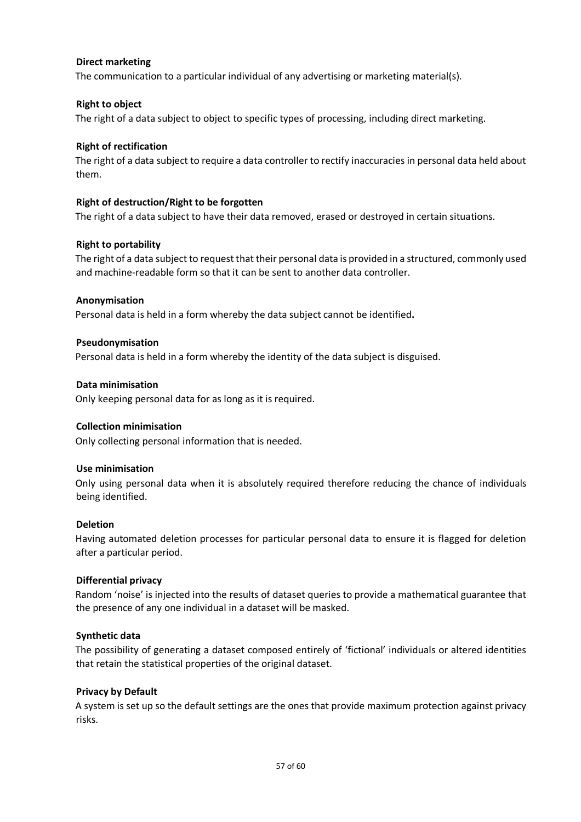## **Direct marketing**

The communication to a particular individual of any advertising or marketing material(s).

## **Right to object**

The right of a data subject to object to specific types of processing, including direct marketing.

## **Right of rectification**

The right of a data subject to require a data controller to rectify inaccuracies in personal data held about them.

## **Right of destruction/Right to be forgotten**

The right of a data subject to have their data removed, erased or destroyed in certain situations.

## **Right to portability**

The right of a data subject to request that their personal data is provided in a structured, commonly used and machine-readable form so that it can be sent to another data controller.

## **Anonymisation**

Personal data is held in a form whereby the data subject cannot be identified**.** 

## **Pseudonymisation**

Personal data is held in a form whereby the identity of the data subject is disguised.

## **Data minimisation**

Only keeping personal data for as long as it is required.

## **Collection minimisation**

Only collecting personal information that is needed.

## **Use minimisation**

Only using personal data when it is absolutely required therefore reducing the chance of individuals being identified.

## **Deletion**

Having automated deletion processes for particular personal data to ensure it is flagged for deletion after a particular period.

## **Differential privacy**

Random 'noise' is injected into the results of dataset queries to provide a mathematical guarantee that the presence of any one individual in a dataset will be masked.

## **Synthetic data**

The possibility of generating a dataset composed entirely of 'fictional' individuals or altered identities that retain the statistical properties of the original dataset.

## **Privacy by Default**

A system is set up so the default settings are the ones that provide maximum protection against privacy risks.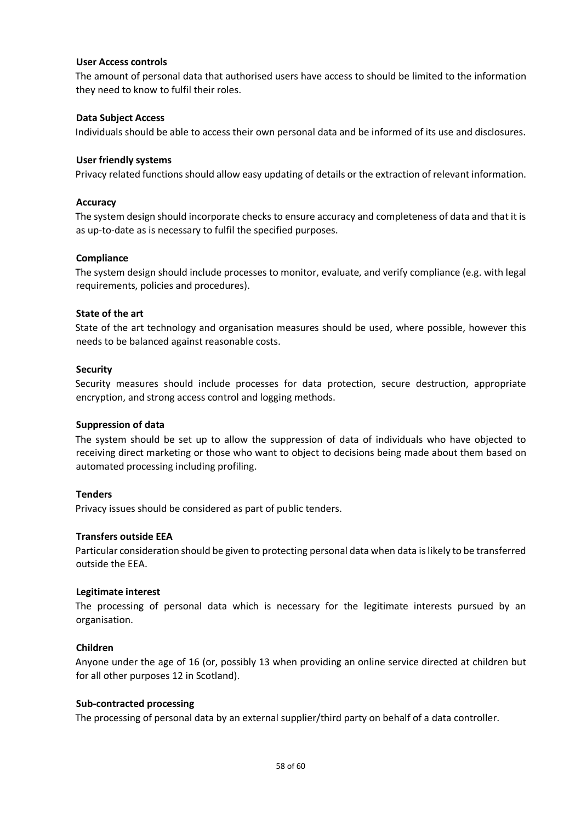## **User Access controls**

The amount of personal data that authorised users have access to should be limited to the information they need to know to fulfil their roles.

## **Data Subject Access**

Individuals should be able to access their own personal data and be informed of its use and disclosures.

#### **User friendly systems**

Privacy related functions should allow easy updating of details or the extraction of relevant information.

#### **Accuracy**

The system design should incorporate checks to ensure accuracy and completeness of data and that it is as up-to-date as is necessary to fulfil the specified purposes.

#### **Compliance**

The system design should include processes to monitor, evaluate, and verify compliance (e.g. with legal requirements, policies and procedures).

#### **State of the art**

State of the art technology and organisation measures should be used, where possible, however this needs to be balanced against reasonable costs.

#### **Security**

Security measures should include processes for data protection, secure destruction, appropriate encryption, and strong access control and logging methods.

#### **Suppression of data**

The system should be set up to allow the suppression of data of individuals who have objected to receiving direct marketing or those who want to object to decisions being made about them based on automated processing including profiling.

## **Tenders**

Privacy issues should be considered as part of public tenders.

#### **Transfers outside EEA**

Particular consideration should be given to protecting personal data when data is likely to be transferred outside the EEA.

#### **Legitimate interest**

The processing of personal data which is necessary for the legitimate interests pursued by an organisation.

## **Children**

Anyone under the age of 16 (or, possibly 13 when providing an online service directed at children but for all other purposes 12 in Scotland).

#### **Sub-contracted processing**

The processing of personal data by an external supplier/third party on behalf of a data controller.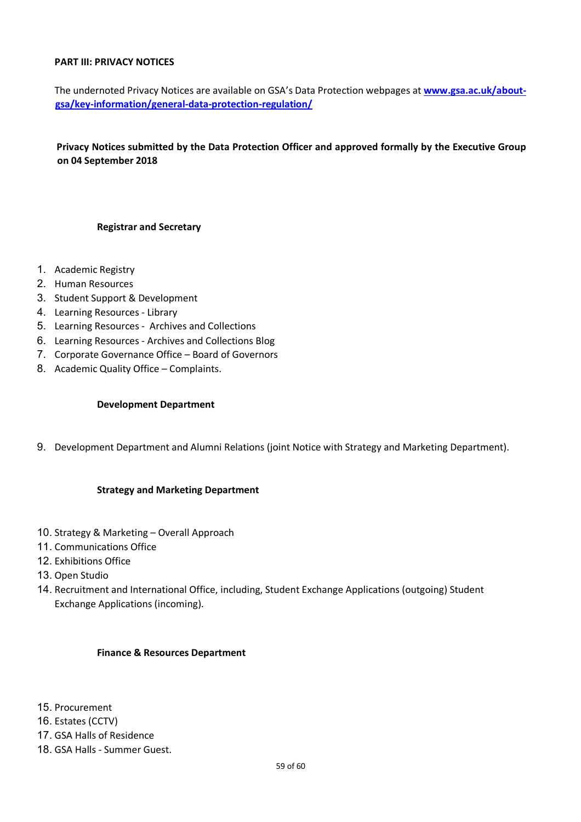## **PART III: PRIVACY NOTICES**

The undernoted Privacy Notices are available on GSA's Data Protection webpages at **www.gsa.ac.uk/aboutgsa/key-information/general-data-protection-regulation/**

**Privacy Notices submitted by the Data Protection Officer and approved formally by the Executive Group on 04 September 2018** 

#### **Registrar and Secretary**

- 1. Academic Registry
- 2. Human Resources
- 3. Student Support & Development
- 4. Learning Resources Library
- 5. Learning Resources Archives and Collections
- 6. Learning Resources Archives and Collections Blog
- 7. Corporate Governance Office Board of Governors
- 8. Academic Quality Office Complaints.

## **Development Department**

9. Development Department and Alumni Relations (joint Notice with Strategy and Marketing Department).

## **Strategy and Marketing Department**

- 10. Strategy & Marketing Overall Approach
- 11. Communications Office
- 12. Exhibitions Office
- 13. Open Studio
- 14. Recruitment and International Office, including, Student Exchange Applications (outgoing) Student Exchange Applications (incoming).

#### **Finance & Resources Department**

- 15. Procurement
- 16. Estates (CCTV)
- 17. GSA Halls of Residence
- 18. GSA Halls Summer Guest.